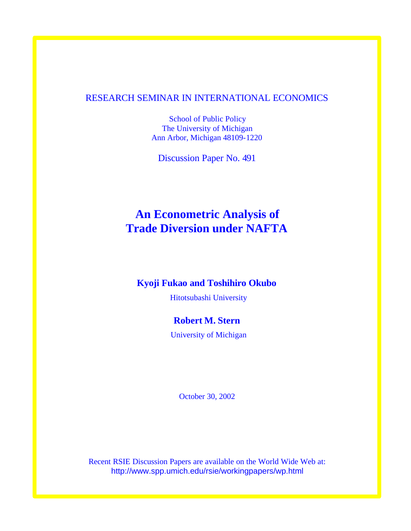## RESEARCH SEMINAR IN INTERNATIONAL ECONOMICS

School of Public Policy The University of Michigan Ann Arbor, Michigan 48109-1220

Discussion Paper No. 491

# **An Econometric Analysis of Trade Diversion under NAFTA**

## **Kyoji Fukao and Toshihiro Okubo**

Hitotsubashi University

## **Robert M. Stern**

University of Michigan

October 30, 2002

Recent RSIE Discussion Papers are available on the World Wide Web at: http://www.spp.umich.edu/rsie/workingpapers/wp.html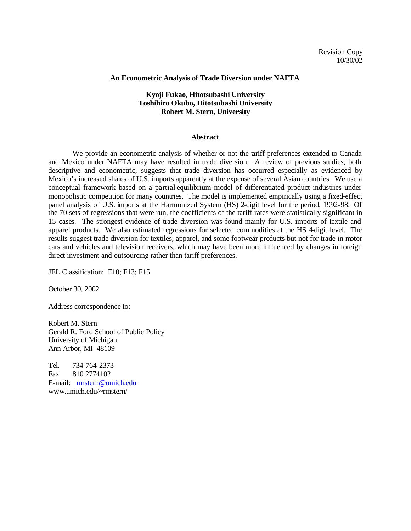#### **An Econometric Analysis of Trade Diversion under NAFTA**

### **Kyoji Fukao, Hitotsubashi University Toshihiro Okubo, Hitotsubashi University Robert M. Stern, University**

#### **Abstract**

We provide an econometric analysis of whether or not the tariff preferences extended to Canada and Mexico under NAFTA may have resulted in trade diversion. A review of previous studies, both descriptive and econometric, suggests that trade diversion has occurred especially as evidenced by Mexico's increased shares of U.S. imports apparently at the expense of several Asian countries. We use a conceptual framework based on a partial-equilibrium model of differentiated product industries under monopolistic competition for many countries. The model is implemented empirically using a fixed-effect panel analysis of U.S. imports at the Harmonized System (HS) 2-digit level for the period, 1992-98. Of the 70 sets of regressions that were run, the coefficients of the tariff rates were statistically significant in 15 cases. The strongest evidence of trade diversion was found mainly for U.S. imports of textile and apparel products. We also estimated regressions for selected commodities at the HS 4-digit level. The results suggest trade diversion for textiles, apparel, and some footwear products but not for trade in motor cars and vehicles and television receivers, which may have been more influenced by changes in foreign direct investment and outsourcing rather than tariff preferences.

JEL Classification: F10; F13; F15

October 30, 2002

Address correspondence to:

Robert M. Stern Gerald R. Ford School of Public Policy University of Michigan Ann Arbor, MI 48109

Tel. 734-764-2373 Fax 810 2774102 E-mail: rmstern@umich.edu www.umich.edu/~rmstern/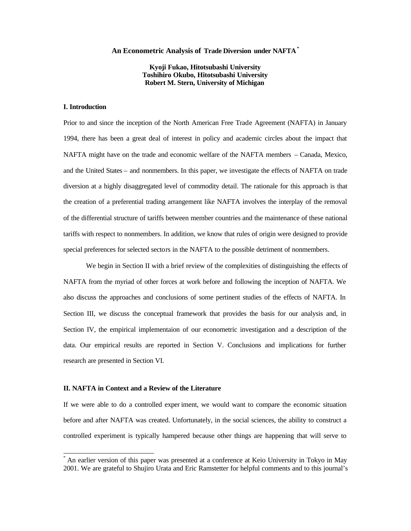#### **An Econometric Analysis of Trade Diversion under NAFTA\***

**Kyoji Fukao, Hitotsubashi University Toshihiro Okubo, Hitotsubashi University Robert M. Stern, University of Michigan**

### **I. Introduction**

 $\overline{a}$ 

Prior to and since the inception of the North American Free Trade Agreement (NAFTA) in January 1994, there has been a great deal of interest in policy and academic circles about the impact that NAFTA might have on the trade and economic welfare of the NAFTA members – Canada, Mexico, and the United States – and nonmembers. In this paper, we investigate the effects of NAFTA on trade diversion at a highly disaggregated level of commodity detail. The rationale for this approach is that the creation of a preferential trading arrangement like NAFTA involves the interplay of the removal of the differential structure of tariffs between member countries and the maintenance of these national tariffs with respect to nonmembers. In addition, we know that rules of origin were designed to provide special preferences for selected sectors in the NAFTA to the possible detriment of nonmembers.

We begin in Section II with a brief review of the complexities of distinguishing the effects of NAFTA from the myriad of other forces at work before and following the inception of NAFTA. We also discuss the approaches and conclusions of some pertinent studies of the effects of NAFTA. In Section III, we discuss the conceptual framework that provides the basis for our analysis and, in Section IV, the empirical implementaion of our econometric investigation and a description of the data. Our empirical results are reported in Section V. Conclusions and implications for further research are presented in Section VI.

#### **II. NAFTA in Context and a Review of the Literature**

If we were able to do a controlled exper iment, we would want to compare the economic situation before and after NAFTA was created. Unfortunately, in the social sciences, the ability to construct a controlled experiment is typically hampered because other things are happening that will serve to

<sup>\*</sup> An earlier version of this paper was presented at a conference at Keio University in Tokyo in May 2001. We are grateful to Shujiro Urata and Eric Ramstetter for helpful comments and to this journal's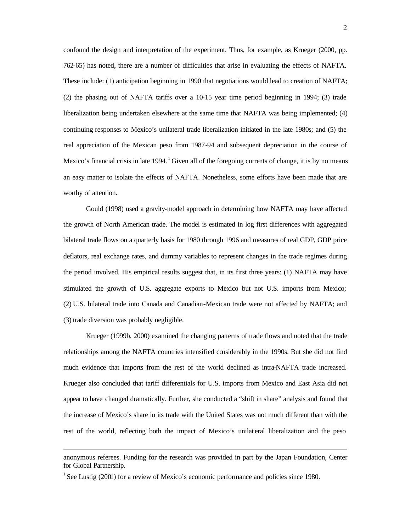confound the design and interpretation of the experiment. Thus, for example, as Krueger (2000, pp. 762-65) has noted, there are a number of difficulties that arise in evaluating the effects of NAFTA. These include: (1) anticipation beginning in 1990 that negotiations would lead to creation of NAFTA; (2) the phasing out of NAFTA tariffs over a 10-15 year time period beginning in 1994; (3) trade liberalization being undertaken elsewhere at the same time that NAFTA was being implemented; (4) continuing responses to Mexico's unilateral trade liberalization initiated in the late 1980s; and (5) the real appreciation of the Mexican peso from 1987-94 and subsequent depreciation in the course of Mexico's financial crisis in late 1994.  $^1$  Given all of the foregoing currents of change, it is by no means an easy matter to isolate the effects of NAFTA. Nonetheless, some efforts have been made that are worthy of attention.

Gould (1998) used a gravity-model approach in determining how NAFTA may have affected the growth of North American trade. The model is estimated in log first differences with aggregated bilateral trade flows on a quarterly basis for 1980 through 1996 and measures of real GDP, GDP price deflators, real exchange rates, and dummy variables to represent changes in the trade regimes during the period involved. His empirical results suggest that, in its first three years: (1) NAFTA may have stimulated the growth of U.S. aggregate exports to Mexico but not U.S. imports from Mexico; (2) U.S. bilateral trade into Canada and Canadian-Mexican trade were not affected by NAFTA; and (3) trade diversion was probably negligible.

Krueger (1999b, 2000) examined the changing patterns of trade flows and noted that the trade relationships among the NAFTA countries intensified considerably in the 1990s. But she did not find much evidence that imports from the rest of the world declined as intra-NAFTA trade increased. Krueger also concluded that tariff differentials for U.S. imports from Mexico and East Asia did not appear to have changed dramatically. Further, she conducted a "shift in share" analysis and found that the increase of Mexico's share in its trade with the United States was not much different than with the rest of the world, reflecting both the impact of Mexico's unilat eral liberalization and the peso

anonymous referees. Funding for the research was provided in part by the Japan Foundation, Center for Global Partnership.

<sup>&</sup>lt;sup>1</sup> See Lustig (2001) for a review of Mexico's economic performance and policies since 1980.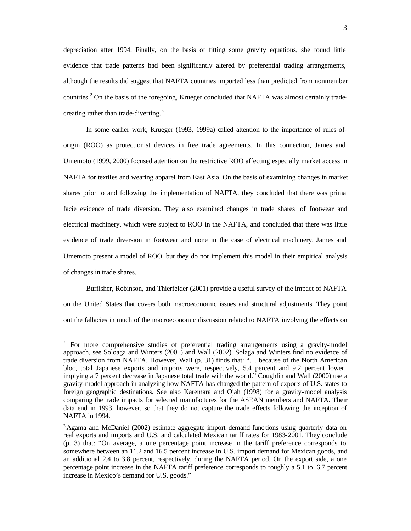depreciation after 1994. Finally, on the basis of fitting some gravity equations, she found little evidence that trade patterns had been significantly altered by preferential trading arrangements, although the results did suggest that NAFTA countries imported less than predicted from nonmember countries.<sup>2</sup> On the basis of the foregoing, Krueger concluded that NAFTA was almost certainly tradecreating rather than trade-diverting.<sup>3</sup>

In some earlier work, Krueger (1993, 1999a) called attention to the importance of rules-oforigin (ROO) as protectionist devices in free trade agreements. In this connection, James and Umemoto (1999, 2000) focused attention on the restrictive ROO affecting especially market access in NAFTA for textiles and wearing apparel from East Asia. On the basis of examining changes in market shares prior to and following the implementation of NAFTA, they concluded that there was prima facie evidence of trade diversion. They also examined changes in trade shares of footwear and electrical machinery, which were subject to ROO in the NAFTA, and concluded that there was little evidence of trade diversion in footwear and none in the case of electrical machinery. James and Umemoto present a model of ROO, but they do not implement this model in their empirical analysis of changes in trade shares.

Burfisher, Robinson, and Thierfelder (2001) provide a useful survey of the impact of NAFTA on the United States that covers both macroeconomic issues and structural adjustments. They point out the fallacies in much of the macroeconomic discussion related to NAFTA involving the effects on

<sup>&</sup>lt;sup>2</sup> For more comprehensive studies of preferential trading arrangements using a gravity-model approach, see Soloaga and Winters (2001) and Wall (2002). Solaga and Winters find no evidence of trade diversion from NAFTA. However, Wall (p. 31) finds that: "… because of the North American bloc, total Japanese exports and imports were, respectively, 5.4 percent and 9.2 percent lower, implying a 7 percent decrease in Japanese total trade with the world." Coughlin and Wall (2000) use a gravity-model approach in analyzing how NAFTA has changed the pattern of exports of U.S. states to foreign geographic destinations. See also Karemara and Ojah (1998) for a gravity-model analysis comparing the trade impacts for selected manufactures for the ASEAN members and NAFTA. Their data end in 1993, however, so that they do not capture the trade effects following the inception of NAFTA in 1994.

<sup>&</sup>lt;sup>3</sup>Agama and McDaniel (2002) estimate aggregate import-demand functions using quarterly data on real exports and imports and U.S. and calculated Mexican tariff rates for 1983-2001. They conclude (p. 3) that: "On average, a one percentage point increase in the tariff preference corresponds to somewhere between an 11.2 and 16.5 percent increase in U.S. import demand for Mexican goods, and an additional 2.4 to 3.8 percent, respectively, during the NAFTA period. On the export side, a one percentage point increase in the NAFTA tariff preference corresponds to roughly a 5.1 to 6.7 percent increase in Mexico's demand for U.S. goods."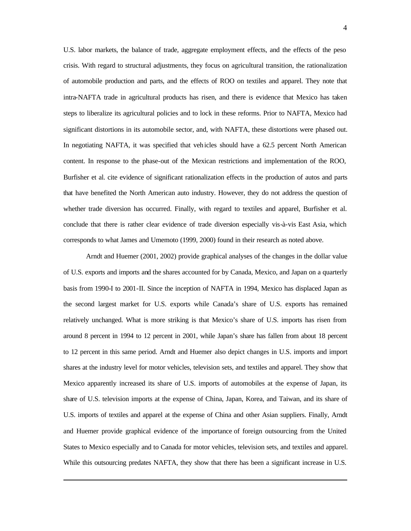U.S. labor markets, the balance of trade, aggregate employment effects, and the effects of the peso crisis. With regard to structural adjustments, they focus on agricultural transition, the rationalization of automobile production and parts, and the effects of ROO on textiles and apparel. They note that intra-NAFTA trade in agricultural products has risen, and there is evidence that Mexico has taken steps to liberalize its agricultural policies and to lock in these reforms. Prior to NAFTA, Mexico had significant distortions in its automobile sector, and, with NAFTA, these distortions were phased out. In negotiating NAFTA, it was specified that veh icles should have a 62.5 percent North American content. In response to the phase-out of the Mexican restrictions and implementation of the ROO, Burfisher et al. cite evidence of significant rationalization effects in the production of autos and parts that have benefited the North American auto industry. However, they do not address the question of whether trade diversion has occurred. Finally, with regard to textiles and apparel, Burfisher et al. conclude that there is rather clear evidence of trade diversion especially vis-à-vis East Asia, which corresponds to what James and Umemoto (1999, 2000) found in their research as noted above.

Arndt and Huemer (2001, 2002) provide graphical analyses of the changes in the dollar value of U.S. exports and imports and the shares accounted for by Canada, Mexico, and Japan on a quarterly basis from 1990-I to 2001-II. Since the inception of NAFTA in 1994, Mexico has displaced Japan as the second largest market for U.S. exports while Canada's share of U.S. exports has remained relatively unchanged. What is more striking is that Mexico's share of U.S. imports has risen from around 8 percent in 1994 to 12 percent in 2001, while Japan's share has fallen from about 18 percent to 12 percent in this same period. Arndt and Huemer also depict changes in U.S. imports and import shares at the industry level for motor vehicles, television sets, and textiles and apparel. They show that Mexico apparently increased its share of U.S. imports of automobiles at the expense of Japan, its share of U.S. television imports at the expense of China, Japan, Korea, and Taiwan, and its share of U.S. imports of textiles and apparel at the expense of China and other Asian suppliers. Finally, Arndt and Huemer provide graphical evidence of the importance of foreign outsourcing from the United States to Mexico especially and to Canada for motor vehicles, television sets, and textiles and apparel. While this outsourcing predates NAFTA, they show that there has been a significant increase in U.S.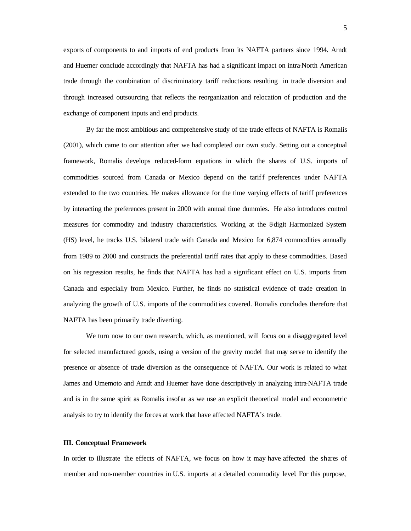exports of components to and imports of end products from its NAFTA partners since 1994. Arndt and Huemer conclude accordingly that NAFTA has had a significant impact on intra-North American trade through the combination of discriminatory tariff reductions resulting in trade diversion and through increased outsourcing that reflects the reorganization and relocation of production and the exchange of component inputs and end products.

By far the most ambitious and comprehensive study of the trade effects of NAFTA is Romalis (2001), which came to our attention after we had completed our own study. Setting out a conceptual framework, Romalis develops reduced-form equations in which the shares of U.S. imports of commodities sourced from Canada or Mexico depend on the tariff preferences under NAFTA extended to the two countries. He makes allowance for the time varying effects of tariff preferences by interacting the preferences present in 2000 with annual time dummies. He also introduces control measures for commodity and industry characteristics. Working at the 8-digit Harmonized System (HS) level, he tracks U.S. bilateral trade with Canada and Mexico for 6,874 commodities annually from 1989 to 2000 and constructs the preferential tariff rates that apply to these commoditie s. Based on his regression results, he finds that NAFTA has had a significant effect on U.S. imports from Canada and especially from Mexico. Further, he finds no statistical evidence of trade creation in analyzing the growth of U.S. imports of the commodities covered. Romalis concludes therefore that NAFTA has been primarily trade diverting.

We turn now to our own research, which, as mentioned, will focus on a disaggregated level for selected manufactured goods, using a version of the gravity model that may serve to identify the presence or absence of trade diversion as the consequence of NAFTA. Our work is related to what James and Umemoto and Arndt and Huemer have done descriptively in analyzing intra-NAFTA trade and is in the same spirit as Romalis insof ar as we use an explicit theoretical model and econometric analysis to try to identify the forces at work that have affected NAFTA's trade.

#### **III. Conceptual Framework**

In order to illustrate the effects of NAFTA, we focus on how it may have affected the shares of member and non-member countries in U.S. imports at a detailed commodity level. For this purpose,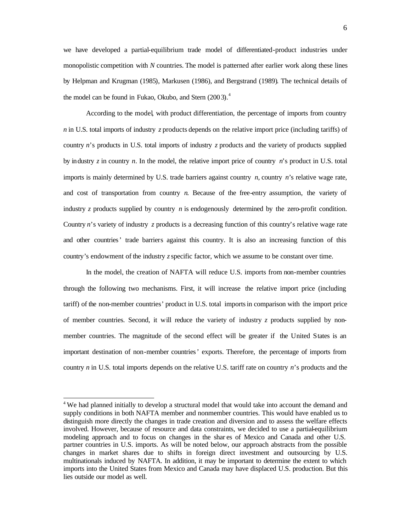we have developed a partial-equilibrium trade model of differentiated-product industries under monopolistic competition with *N* countries. The model is patterned after earlier work along these lines by Helpman and Krugman (1985), Markusen (1986), and Bergstrand (1989). The technical details of the model can be found in Fukao, Okubo, and Stern (2003).<sup>4</sup>

According to the model, with product differentiation, the percentage of imports from country *n* in U.S. total imports of industry *z* products depends on the relative import price (including tariffs) of country *n*'s products in U.S. total imports of industry *z* products and the variety of products supplied by industry *z* in country *n*. In the model, the relative import price of country *n*'s product in U.S. total imports is mainly determined by U.S. trade barriers against country *n*, country *n*'s relative wage rate, and cost of transportation from country *n*. Because of the free-entry assumption, the variety of industry *z* products supplied by country *n* is endogenously determined by the zero-profit condition. Country *n*'s variety of industry *z* products is a decreasing function of this country's relative wage rate and other countries' trade barriers against this country. It is also an increasing function of this country's endowment of the industry *z* specific factor, which we assume to be constant over time.

In the model, the creation of NAFTA will reduce U.S. imports from non-member countries through the following two mechanisms. First, it will increase the relative import price (including tariff) of the non-member countries' product in U.S. total imports in comparison with the import price of member countries. Second, it will reduce the variety of industry *z* products supplied by nonmember countries. The magnitude of the second effect will be greater if the United States is an important destination of non-member countries' exports. Therefore, the percentage of imports from country *n* in U.S. total imports depends on the relative U.S. tariff rate on country *n*'s products and the

<sup>&</sup>lt;sup>4</sup> We had planned initially to develop a structural model that would take into account the demand and supply conditions in both NAFTA member and nonmember countries. This would have enabled us to distinguish more directly the changes in trade creation and diversion and to assess the welfare effects involved. However, because of resource and data constraints, we decided to use a partial-equilibrium modeling approach and to focus on changes in the shar es of Mexico and Canada and other U.S. partner countries in U.S. imports. As will be noted below, our approach abstracts from the possible changes in market shares due to shifts in foreign direct investment and outsourcing by U.S. multinationals induced by NAFTA. In addition, it may be important to determine the extent to which imports into the United States from Mexico and Canada may have displaced U.S. production. But this lies outside our model as well.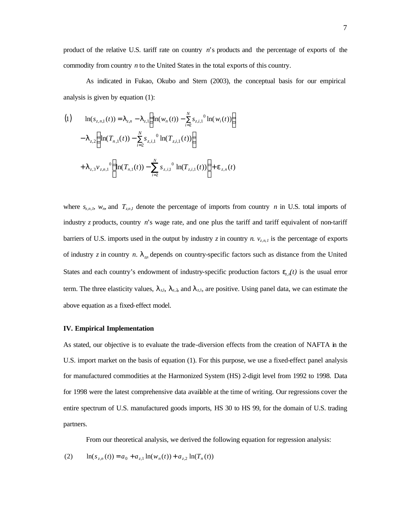product of the relative U.S. tariff rate on country *n*'s products and the percentage of exports of the commodity from country *n* to the United States in the total exports of this country.

As indicated in Fukao, Okubo and Stern (2003), the conceptual basis for our empirical analysis is given by equation (1):

(1) 
$$
\ln(s_{z,n,1}(t)) = I_{z,n} - I_{z,1} \left( \ln(w_n(t)) - \sum_{i=2}^{N} s_{z,i,1}{}^{0} \ln(w_i(t)) \right)
$$

$$
- I_{z,2} \left( \ln(T_{n,1}(t)) - \sum_{i=2}^{N} s_{z,i,1}{}^{0} \ln(T_{z,i,1}(t)) \right)
$$

$$
+ I_{z,3} v_{z,n,1}{}^{0} \left( \ln(T_{n,1}(t)) - \sum_{i=2}^{N} s_{z,i,1}{}^{0} \ln(T_{z,i,1}(t)) \right) + e_{z,n}(t)
$$

where  $s_{z,n,l}$ ,  $w_n$ , and  $T_{z,n,l}$  denote the percentage of imports from country *n* in U.S. total imports of industry *z* products, country *n*'s wage rate, and one plus the tariff and tariff equivalent of non-tariff barriers of U.S. imports used in the output by industry *z* in country *n*.  $v_{z,n,l}$  is the percentage of exports of industry *z* in country *n*.  $I_{zn}$  depends on country-specific factors such as distance from the United States and each country's endowment of industry-specific production factors  $e_{\tau,n}(t)$  is the usual error term. The three elasticity values,  $\lambda_{z1}$ ,  $\lambda_{z2}$ , and  $\lambda_{z1}$ , are positive. Using panel data, we can estimate the above equation as a fixed-effect model.

#### **IV. Empirical Implementation**

As stated, our objective is to evaluate the trade-diversion effects from the creation of NAFTA in the U.S. import market on the basis of equation (1). For this purpose, we use a fixed-effect panel analysis for manufactured commodities at the Harmonized System (HS) 2-digit level from 1992 to 1998. Data for 1998 were the latest comprehensive data available at the time of writing. Our regressions cover the entire spectrum of U.S. manufactured goods imports, HS 30 to HS 99, for the domain of U.S. trading partners.

From our theoretical analysis, we derived the following equation for regression analysis:

(2) 
$$
\ln(s_{z,n}(t)) = a_0 + a_{z,1} \ln(w_n(t)) + a_{z,2} \ln(T_n(t))
$$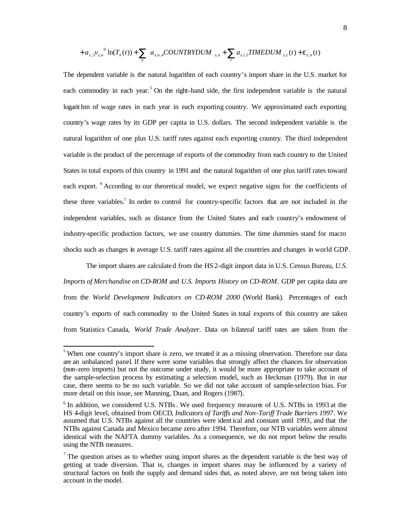$$
+ a_{z,3} v_{z,n}^{0} \ln(T_n(t)) + \sum_n a_{z,n,4} COUNTRYDUM_{z,n} + \sum_t a_{z,t,5} TIMEDUM_{z,t}(t) + \mathbf{e}_{z,n}(t)
$$

The dependent variable is the natural logarithm of each country's import share in the U.S. market for each commodity in each year.<sup>5</sup> On the right-hand side, the first independent variable is the natural logarit hm of wage rates in each year in each exporting country. We approximated each exporting country's wage rates by its GDP per capita in U.S. dollars. The second independent variable is the natural logarithm of one plus U.S. tariff rates against each exporting country. The third independent variable is the product of the percentage of exports of the commodity from each country to the United States in total exports of this country in 1991 and the natural logarithm of one plus tariff rates toward each export. <sup>6</sup> According to our theoretical model, we expect negative signs for the coefficients of these three variables.<sup>7</sup> In order to control for country-specific factors that are not included in the independent variables, such as distance from the United States and each country's endowment of industry-specific production factors, we use country dummies. The time dummies stand for macro shocks such as changes in average U.S. tariff rates against all the countries and changes in world GDP.

The import shares are calculated from the HS 2-digit import data in U.S. Census Bureau, *U.S. Imports of Merchandise on CD-ROM* and *U.S. Imports History on CD-ROM*. GDP per capita data are from the *World Development Indicators on CD-ROM 2000* (World Bank). Percentages of each country's exports of each commodity to the United States in total exports of this country are taken from Statistics Canada, *World Trade Analyzer*. Data on bilateral tariff rates are taken from the

<sup>&</sup>lt;sup>5</sup> When one country's import share is zero, we treated it as a missing observation. Therefore our data are an unbalanced panel. If there were some variables that strongly affect the chances for observation (non-zero imports) but not the outcome under study, it would be more appropriate to take account of the sample-selection process by estimating a selection model, such as Heckman (1979). But in our case, there seems to be no such variable. So we did not take account of sample-selection bias. For more detail on this issue, see Manning, Duan, and Rogers (1987).

<sup>&</sup>lt;sup>6</sup> In addition, we considered U.S. NTBs. We used frequency measures of U.S. NTBs in 1993 at the HS 4-digit level, obtained from OECD, *Indicators of Tariffs and Non-Tariff Trade Barriers 1997*. We assumed that U.S. NTBs against all the countries were identical and constant until 1993, and that the NTBs against Canada and Mexico became zero after 1994. Therefore, our NTB variables were almost identical with the NAFTA dummy variables. As a consequence, we do not report below the results using the NTB measures.

The question arises as to whether using import shares as the dependent variable is the best way of getting at trade diversion. That is, changes in import shares may be influenced by a variety of structural factors on both the supply and demand sides that, as noted above, are not being taken into account in the model.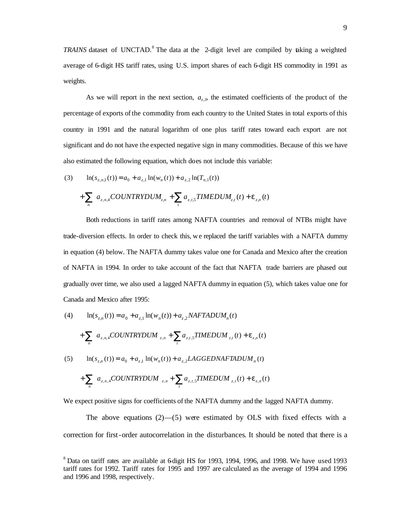TRAINS dataset of UNCTAD.<sup>8</sup> The data at the 2-digit level are compiled by taking a weighted average of 6-digit HS tariff rates, using U.S. import shares of each 6-digit HS commodity in 1991 as weights.

As we will report in the next section,  $a_{\tau}$ , the estimated coefficients of the product of the percentage of exports of the commodity from each country to the United States in total exports of this country in 1991 and the natural logarithm of one plus tariff rates toward each export are not significant and do not have the expected negative sign in many commodities. Because of this we have also estimated the following equation, which does not include this variable:

(3) 
$$
\ln(s_{z,n,1}(t)) = a_0 + a_{z,1} \ln(w_n(t)) + a_{z,2} \ln(T_{n,1}(t)) + \sum_{n} a_{z,n,4} COUNTRYDUM_{z,n} + \sum_{t} a_{z,t,5} TIMEDUM_{z,t}(t) + e_{z,n}(t)
$$

Both reductions in tariff rates among NAFTA countries and removal of NTBs might have trade-diversion effects. In order to check this, we replaced the tariff variables with a NAFTA dummy in equation (4) below. The NAFTA dummy takes value one for Canada and Mexico after the creation of NAFTA in 1994. In order to take account of the fact that NAFTA trade barriers are phased out gradually over time, we also used a lagged NAFTA dummy in equation (5), which takes value one for Canada and Mexico after 1995:

(4) 
$$
\ln(s_{z,n}(t)) = a_0 + a_{z,1} \ln(w_n(t)) + a_{z,2} NAFTADUM_n(t)
$$

$$
+ \sum_{n} a_{z,n,4} COUNTRYDUM_{z,n} + \sum_{t} a_{z,t,5} TIMEDUM_{z,t}(t) + \mathbf{e}_{z,n}(t)
$$

$$
\ln(s_{z,n}(t)) = a_0 + a_{z,1} \ln(w_n(t)) + a_{z,2} LAGGEDNAFTADUM_n(t)
$$

$$
+ \sum_{n} a_{z,n,4} COUNTRYDUM_{z,n} + \sum_{t} a_{z,t,5} TIMEDUM_{z,t}(t) + \mathbf{e}_{z,n}(t)
$$

We expect positive signs for coefficients of the NAFTA dummy and the lagged NAFTA dummy.

The above equations  $(2)$ —(5) were estimated by OLS with fixed effects with a correction for first-order autocorrelation in the disturbances. It should be noted that there is a

 $8$  Data on tariff rates are available at 6 digit HS for 1993, 1994, 1996, and 1998. We have used 1993 tariff rates for 1992. Tariff rates for 1995 and 1997 are calculated as the average of 1994 and 1996 and 1996 and 1998, respectively.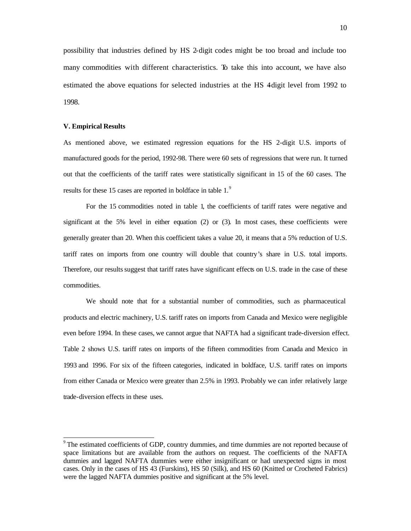possibility that industries defined by HS 2-digit codes might be too broad and include too many commodities with different characteristics. To take this into account, we have also estimated the above equations for selected industries at the HS 4-digit level from 1992 to 1998.

#### **V. Empirical Results**

 $\overline{a}$ 

As mentioned above, we estimated regression equations for the HS 2-digit U.S. imports of manufactured goods for the period, 1992-98. There were 60 sets of regressions that were run. It turned out that the coefficients of the tariff rates were statistically significant in 15 of the 60 cases. The results for these 15 cases are reported in boldface in table 1.<sup>9</sup>

For the 15 commodities noted in table 1, the coefficients of tariff rates were negative and significant at the 5% level in either equation (2) or (3). In most cases, these coefficients were generally greater than 20. When this coefficient takes a value 20, it means that a 5% reduction of U.S. tariff rates on imports from one country will double that country's share in U.S. total imports. Therefore, our results suggest that tariff rates have significant effects on U.S. trade in the case of these commodities.

We should note that for a substantial number of commodities, such as pharmaceutical products and electric machinery, U.S. tariff rates on imports from Canada and Mexico were negligible even before 1994. In these cases, we cannot argue that NAFTA had a significant trade-diversion effect. Table 2 shows U.S. tariff rates on imports of the fifteen commodities from Canada and Mexico in 1993 and 1996. For six of the fifteen categories, indicated in boldface, U.S. tariff rates on imports from either Canada or Mexico were greater than 2.5% in 1993. Probably we can infer relatively large trade-diversion effects in these uses.

<sup>9</sup> The estimated coefficients of GDP, country dummies, and time dummies are not reported because of space limitations but are available from the authors on request. The coefficients of the NAFTA dummies and lagged NAFTA dummies were either insignificant or had unexpected signs in most cases. Only in the cases of HS 43 (Furskins), HS 50 (Silk), and HS 60 (Knitted or Crocheted Fabrics) were the lagged NAFTA dummies positive and significant at the 5% level.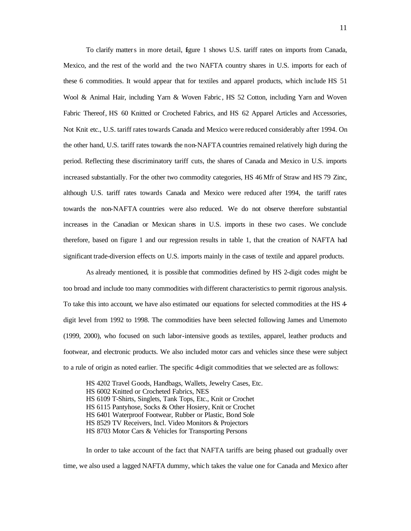To clarify matters in more detail, figure 1 shows U.S. tariff rates on imports from Canada, Mexico, and the rest of the world and the two NAFTA country shares in U.S. imports for each of these 6 commodities. It would appear that for textiles and apparel products, which include HS 51 Wool & Animal Hair, including Yarn & Woven Fabric , HS 52 Cotton, including Yarn and Woven Fabric Thereof, HS 60 Knitted or Crocheted Fabrics, and HS 62 Apparel Articles and Accessories, Not Knit etc., U.S. tariff rates towards Canada and Mexico were reduced considerably after 1994. On the other hand, U.S. tariff rates towards the non-NAFTA countries remained relatively high during the period. Reflecting these discriminatory tariff cuts, the shares of Canada and Mexico in U.S. imports increased substantially. For the other two commodity categories, HS 46 Mfr of Straw and HS 79 Zinc, although U.S. tariff rates towards Canada and Mexico were reduced after 1994, the tariff rates towards the non-NAFTA countries were also reduced. We do not observe therefore substantial increases in the Canadian or Mexican shares in U.S. imports in these two cases. We conclude therefore, based on figure 1 and our regression results in table 1, that the creation of NAFTA had significant trade-diversion effects on U.S. imports mainly in the cases of textile and apparel products.

As already mentioned, it is possible that commodities defined by HS 2-digit codes might be too broad and include too many commodities with different characteristics to permit rigorous analysis. To take this into account, we have also estimated our equations for selected commodities at the HS 4 digit level from 1992 to 1998. The commodities have been selected following James and Umemoto (1999, 2000), who focused on such labor-intensive goods as textiles, apparel, leather products and footwear, and electronic products. We also included motor cars and vehicles since these were subject to a rule of origin as noted earlier. The specific 4-digit commodities that we selected are as follows:

HS 4202 Travel Goods, Handbags, Wallets, Jewelry Cases, Etc. HS 6002 Knitted or Crocheted Fabrics, NES HS 6109 T-Shirts, Singlets, Tank Tops, Etc., Knit or Crochet HS 6115 Pantyhose, Socks & Other Hosiery, Knit or Crochet HS 6401 Waterproof Footwear, Rubber or Plastic, Bond Sole HS 8529 TV Receivers, Incl. Video Monitors & Projectors HS 8703 Motor Cars & Vehicles for Transporting Persons

In order to take account of the fact that NAFTA tariffs are being phased out gradually over time, we also used a lagged NAFTA dummy, whic h takes the value one for Canada and Mexico after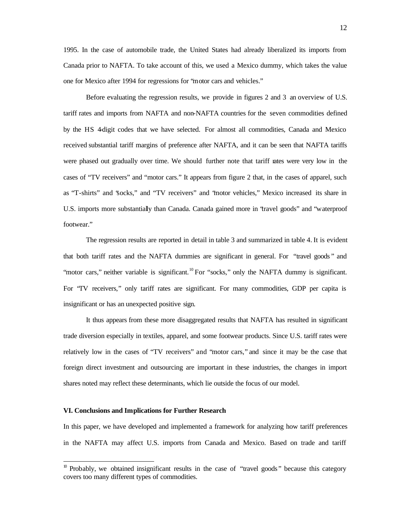1995. In the case of automobile trade, the United States had already liberalized its imports from Canada prior to NAFTA. To take account of this, we used a Mexico dummy, which takes the value one for Mexico after 1994 for regressions for "motor cars and vehicles."

Before evaluating the regression results, we provide in figures 2 and 3 an overview of U.S. tariff rates and imports from NAFTA and non-NAFTA countries for the seven commodities defined by the HS 4-digit codes that we have selected. For almost all commodities, Canada and Mexico received substantial tariff margins of preference after NAFTA, and it can be seen that NAFTA tariffs were phased out gradually over time. We should further note that tariff rates were very low in the cases of "TV receivers" and "motor cars." It appears from figure 2 that, in the cases of apparel, such as "T-shirts" and "socks," and "TV receivers" and "motor vehicles," Mexico increased its share in U.S. imports more substantially than Canada. Canada gained more in "travel goods" and "waterproof footwear."

The regression results are reported in detail in table 3 and summarized in table 4. It is evident that both tariff rates and the NAFTA dummies are significant in general. For "travel goods " and "motor cars," neither variable is significant.<sup>10</sup> For "socks," only the NAFTA dummy is significant. For "TV receivers," only tariff rates are significant. For many commodities, GDP per capita is insignificant or has an unexpected positive sign.

It thus appears from these more disaggregated results that NAFTA has resulted in significant trade diversion especially in textiles, apparel, and some footwear products. Since U.S. tariff rates were relatively low in the cases of "TV receivers" and "motor cars," and since it may be the case that foreign direct investment and outsourcing are important in these industries, the changes in import shares noted may reflect these determinants, which lie outside the focus of our model.

#### **VI. Conclusions and Implications for Further Research**

 $\overline{a}$ 

In this paper, we have developed and implemented a framework for analyzing how tariff preferences in the NAFTA may affect U.S. imports from Canada and Mexico. Based on trade and tariff

 $10$  Probably, we obtained insignificant results in the case of "travel goods" because this category covers too many different types of commodities.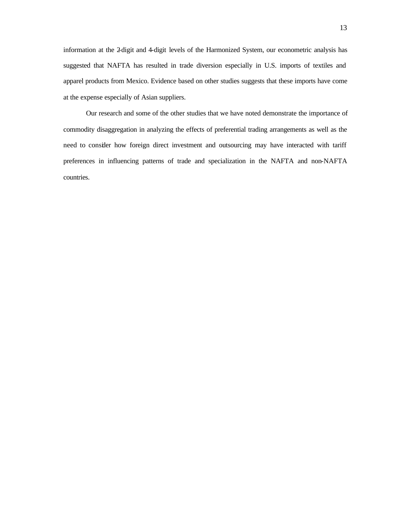information at the 2-digit and 4-digit levels of the Harmonized System, our econometric analysis has suggested that NAFTA has resulted in trade diversion especially in U.S. imports of textiles and apparel products from Mexico. Evidence based on other studies suggests that these imports have come at the expense especially of Asian suppliers.

Our research and some of the other studies that we have noted demonstrate the importance of commodity disaggregation in analyzing the effects of preferential trading arrangements as well as the need to consider how foreign direct investment and outsourcing may have interacted with tariff preferences in influencing patterns of trade and specialization in the NAFTA and non-NAFTA countries.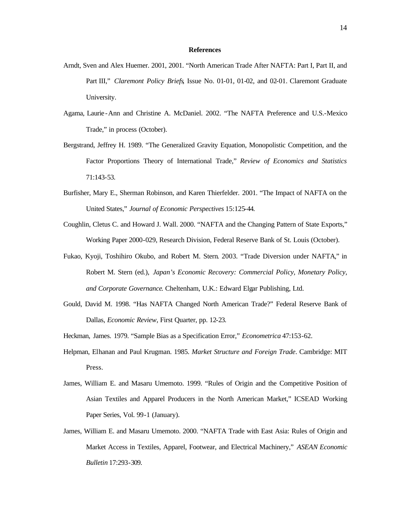#### **References**

- Arndt, Sven and Alex Huemer. 2001, 2001. "North American Trade After NAFTA: Part I, Part II, and Part III," *Claremont Policy Briefs*, Issue No. 01-01, 01-02, and 02-01. Claremont Graduate University.
- Agama, Laurie -Ann and Christine A. McDaniel. 2002. "The NAFTA Preference and U.S.-Mexico Trade," in process (October).
- Bergstrand, Jeffrey H. 1989. "The Generalized Gravity Equation, Monopolistic Competition, and the Factor Proportions Theory of International Trade," *Review of Economics and Statistics* 71:143-53.
- Burfisher, Mary E., Sherman Robinson, and Karen Thierfelder. 2001. "The Impact of NAFTA on the United States," *Journal of Economic Perspectives* 15:125-44.
- Coughlin, Cletus C. and Howard J. Wall. 2000. "NAFTA and the Changing Pattern of State Exports," Working Paper 2000-029, Research Division, Federal Reserve Bank of St. Louis (October).
- Fukao, Kyoji, Toshihiro Okubo, and Robert M. Stern. 2003. "Trade Diversion under NAFTA," in Robert M. Stern (ed.), *Japan's Economic Recovery: Commercial Policy, Monetary Policy, and Corporate Governance*. Cheltenham, U.K.: Edward Elgar Publishing, Ltd.
- Gould, David M. 1998. "Has NAFTA Changed North American Trade?" Federal Reserve Bank of Dallas, *Economic Review*, First Quarter, pp. 12-23.
- Heckman, James. 1979. "Sample Bias as a Specification Error," *Econometrica* 47:153-62.
- Helpman, Elhanan and Paul Krugman. 1985. *Market Structure and Foreign Trade*. Cambridge: MIT Press.
- James, William E. and Masaru Umemoto. 1999. "Rules of Origin and the Competitive Position of Asian Textiles and Apparel Producers in the North American Market," ICSEAD Working Paper Series, Vol. 99-1 (January).
- James, William E. and Masaru Umemoto. 2000. "NAFTA Trade with East Asia: Rules of Origin and Market Access in Textiles, Apparel, Footwear, and Electrical Machinery," *ASEAN Economic Bulletin* 17:293-309.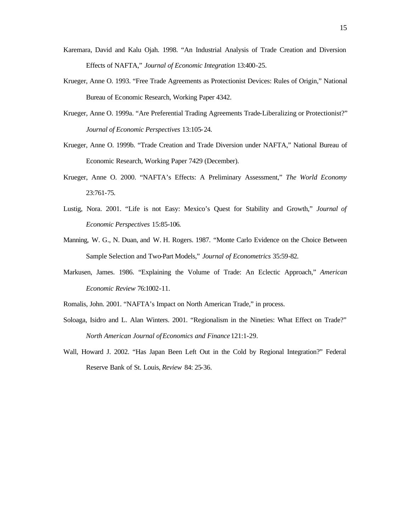- Karemara, David and Kalu Ojah. 1998. "An Industrial Analysis of Trade Creation and Diversion Effects of NAFTA," *Journal of Economic Integration* 13:400-25.
- Krueger, Anne O. 1993. "Free Trade Agreements as Protectionist Devices: Rules of Origin," National Bureau of Economic Research, Working Paper 4342.
- Krueger, Anne O. 1999a. "Are Preferential Trading Agreements Trade-Liberalizing or Protectionist?" *Journal of Economic Perspectives* 13:105-24.
- Krueger, Anne O. 1999b. "Trade Creation and Trade Diversion under NAFTA," National Bureau of Economic Research, Working Paper 7429 (December).
- Krueger, Anne O. 2000. "NAFTA's Effects: A Preliminary Assessment," *The World Economy* 23:761-75.
- Lustig, Nora. 2001. "Life is not Easy: Mexico's Quest for Stability and Growth," *Journal of Economic Perspectives* 15:85-106.
- Manning, W. G., N. Duan, and W. H. Rogers. 1987. "Monte Carlo Evidence on the Choice Between Sample Selection and Two-Part Models," *Journal of Econometrics* 35:59-82.
- Markusen, James. 1986. "Explaining the Volume of Trade: An Eclectic Approach," *American Economic Review* 76:1002-11.
- Romalis, John. 2001. "NAFTA's Impact on North American Trade," in process.
- Soloaga, Isidro and L. Alan Winters. 2001. "Regionalism in the Nineties: What Effect on Trade?" *North American Journal of Economics and Finance* 121:1-29.
- Wall, Howard J. 2002. "Has Japan Been Left Out in the Cold by Regional Integration?" Federal Reserve Bank of St. Louis, *Review* 84: 25-36.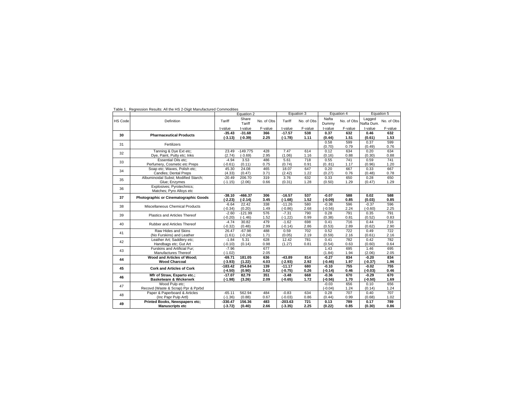|                |                                                       |           | Equation 2      |            |           | Equation 3 |                | Equation 4 |                      | Equation 5 |
|----------------|-------------------------------------------------------|-----------|-----------------|------------|-----------|------------|----------------|------------|----------------------|------------|
| <b>HS Code</b> | Definition                                            | Tariff    | Share<br>Tariff | No. of Obs | Tariff    | No. of Obs | Nafta<br>Dummy | No. of Obs | Lagged<br>Nafta Dum. | No. of Obs |
|                |                                                       | t-value   | t-value         | F-value    | t-value   | F-value    | t-value        | F-value    | t-value              | F-value    |
|                | <b>Pharmaceutical Products</b>                        | $-35.43$  | $-31.68$        | 366        | $-17.57$  | 538        | 0.37           | 632        | 0.46                 | 632        |
| 30             |                                                       | $(-3.13)$ | $(-0.39)$       | 2.25       | $(-1.78)$ | 1.11       | (0.44)         | 1.51       | (0.61)               | 1.53       |
|                | Fertilizers                                           |           |                 |            |           |            | 0.58           | 599        | 0.37                 | 599        |
| 31             |                                                       |           |                 |            |           |            | (0.70)         | 0.79       | (0.49)               | 0.76       |
| 32             | Tanning & Dye Ext etc;                                | 23.49     | $-149.775$      | 428        | 7.47      | 614        | 0.12           | 634        | 0.20                 | 634        |
|                | Dye, Paint, Putty etc; Inks                           | (2.74)    | $(-3.69)$       | 2.95       | (1.06)    | 1.16       | (0.16)         | 0.88       | (0.30)               | 0.88       |
| 33             | <b>Essential Oils etc:</b>                            | $-4.94$   | 3.53            | 486        | 5.61      | 718        | 0.55           | 741        | 0.59                 | 741        |
|                | Perfumery, Cosmetic etc Preps                         | $(-0.61)$ | (0.11)          | 0.75       | (0.74)    | 0.91       | (081)          | 1.17       | (0.96)               | 1.20       |
| 34             | Soap etc; Waxes, Polish etc;                          | 45.30     | 24.08           | 465        | 18.07     | 647        | 0.20           | 667        | 0.33                 | 667        |
|                | Candles: Dental Preps                                 | (4.33)    | (0.47)          | 3.71       | (2.42)    | 1.22       | (0.27)         | 0.76       | (0.48)               | 0.78       |
| 35             | Albuminoidal Subst: Modified Starch:                  | $-20.49$  | 206.70          | 319        | 3.76      | 632        | 0.33           | 650        | 0.28                 | 650        |
|                | Glue; Enzymes                                         | $(-1.15)$ | (2.06)          | 0.66       | (0.31)    | 1.28       | (0.50)         | 1.29       | (0.47)               | 1.29       |
| 36             | Explosives; Pyrotechnics;<br>Matches; Pyro Alloys etc |           |                 |            |           |            |                |            |                      |            |
| 37             | Photographic or Cinematographic Goods                 | $-38.10$  | $-466.37$       | 306        | $-16.57$  | 537        | $-0.07$        | 588        | 0.02                 | 588        |
|                |                                                       | $(-2.23)$ | $(-2.14)$       | 3.45       | $(-1.68)$ | 1.52       | $(-0.09)$      | 0.85       | (0.03)               | 0.85       |
| 38             | Miscellaneous Chemical Products                       | $-6.64$   | 22.42           | 338        | $-11.26$  | 580        | $-0.38$        | 596        | $-0.37$              | 596        |
|                |                                                       | $(-0.34)$ | (0.20)          | 1.49       | $(-0.86)$ | 2.68       | $(-0.56)$      | 2.24       | $(-0.60)$            | 2.25       |
| 39             | Plastics and Articles Thereof                         | $-2.60$   | $-121.99$       | 576        | $-7.31$   | 790        | 0.28           | 791        | 0.35                 | 791        |
|                |                                                       | $(-0.20)$ | $(-1.46)$       | 1.52       | $(-1.22)$ | 0.99       | (0.38)         | 0.81       | (0.52)               | 0.83       |
| 40             | Rubber and Articles Thereof                           | $-4.74$   | 30.82           | 479        | $-1.62$   | 698        | 0.41           | 716        | 0.44                 | 716        |
|                |                                                       | $(-0.32)$ | (0.48)          | 2.99       | $(-0.14)$ | 2.86       | (0.53)         | 2.89       | (0.62)               | 2.90       |
| 41             | Raw Hides and Skins                                   | 26.47     | $-67.98$        | 488        | 0.59      | 702        | 0.52           | 722        | 0.49                 | 722        |
|                | (No Furskins) and Leather                             | (1.61)    | $(-0.24)$       | 1.71       | (0.05)    | 2.19       | (0.59)         | 2.16       | (0.61)               | 2.16       |
| 42             | Leather Art; Saddlery etc;                            | $-1.84$   | 5.31            | 628        | 12.42     | 781        | 0.41           | 782        | 0.42                 | 782        |
|                | Handbags etc; Gut Art                                 | $(-0.10)$ | (0.14)          | 0.98       | (1.27)    | 0.81       | (0.54)         | 0.63       | (0.60)               | 0.64       |
| 43             | Furskins and Artificial Fur:                          | $-7.96$   |                 | 677        |           |            | 1.43           | 695        | 1.46                 | 695        |
|                | Manufactures Thereof                                  | $(-1.02)$ |                 | 2.05       |           |            | (1.84)         | 1.94       | (2.06)               | 2.05       |
| 44             | Wood and Articles of Wood;                            | $-69.71$  | 181.05          | 636        | $-43.89$  | 814        | $-0.27$        | 834        | $-0.20$              | 834        |
|                | <b>Wood Charcoal</b>                                  | $(-3.93)$ | (1.22)          | 4.03       | $(-2.93)$ | 2.92       | $(-0.46)$      | 1.97       | $(-0.37)$            | 1.96       |
| 45             | <b>Cork and Articles of Cork</b>                      | $-183.42$ | 254.84          | 139        | $-11.17$  | 680        | $-0.10$        | 755        | $-0.02$              | 755        |
|                |                                                       | $(-4.50)$ | (0.90)          | 3.62       | $(-0.75)$ | 0.26       | $(-0.14)$      | 0.46       | $(-0.03)$            | 0.46       |
| 46             | Mfr of Straw, Esparto etc.;                           | $-17.07$  | 82.79           | 351        | $-3.48$   | 668        | $-0.36$        | 670        | $-0.29$              | 670        |
|                | <b>Basketware &amp; Wickerwrk</b>                     | $(-1.98)$ | (3.26)          | 2.09       | $(-0.65)$ | 1.72       | $(-0.56)$      | 1.70       | $(-0.50)$            | 1.69       |
| 47             | Wood Pulp etc:                                        |           |                 |            |           |            | $-0.03$        | 656        | 0.10                 | 656        |
|                | Recovd (Waste & Scrap) Ppr & Pprbd                    |           |                 |            |           |            | $(-0.04)$      | 1.24       | (0.14)               | 1.24       |
| 48             | Paper & Paperboard & Articles                         | $-65.11$  | 562.94          | 484        | $-0.83$   | 634        | 0.28           | 707        | 0.40                 | 707        |
|                | (Inc Papr Pulp Artl)                                  | $(-1.36)$ | (0.88)          | 0.67       | $(-0.03)$ | 0.86       | (0.44)         | 0.99       | (0.68)               | 1.02       |
| 49             | <b>Printed Books, Newspapers etc;</b>                 | $-330.47$ | 156.36          | 483        | $-203.63$ | 721        | 0.13           | 789        | 0.17                 | 789        |
|                | <b>Manuscripts etc</b>                                | $(-3.72)$ | (0.40)          | 2.66       | $(-3.35)$ | 2.25       | (0.22)         | 0.85       | (0.30)               | 0.86       |

Table 1. Regression Results: All the HS 2-Digit Manufactured Commodities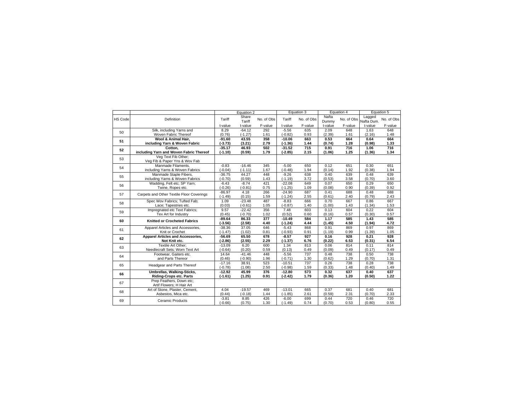|                |                                           |           | Equation 2      |            |           | Equation 3 |                | Equation 4 |                      | Equation 5 |
|----------------|-------------------------------------------|-----------|-----------------|------------|-----------|------------|----------------|------------|----------------------|------------|
| <b>HS Code</b> | Definition                                | Tariff    | Share<br>Tariff | No. of Obs | Tariff    | No. of Obs | Nafta<br>Dummy | No. of Obs | Lagged<br>Nafta Dum. | No. of Obs |
|                |                                           | t-value   | t-value         | F-value    | t-value   | F-value    | t-value        | F-value    | t-value              | F-value    |
| 50             | Silk, including Yarns and                 | 8.29      | $-64.12$        | 292        | $-5.56$   | 635        | 2.09           | 648        | 1.63                 | 648        |
|                | Woven Fabric Thereof                      | (0.76)    | $(-1.27)$       | 1.61       | $(-0.82)$ | 0.93       | (2.39)         | 1.61       | (2.16)               | 1.48       |
| 51             | Wool & Animal Hair.                       | $-91.60$  | 43.55           | 358        | $-10.06$  | 663        | 0.53           | 664        | 0.64                 | 664        |
|                | including Yarn & Woven Fabric             | $(-3.73)$ | (3.21)          | 2.79       | $(-1.36)$ | 1.44       | (0.74)         | 1.28       | (0.98)               | 1.33       |
| 52             | Cotton.                                   | $-35.17$  | 46.93           | 502        | $-31.52$  | 715        | 0.91           | 716        | 1.06                 | 716        |
|                | including Yarn and Woven Fabric Thereof   | $(-1.10)$ | (0.59)          | 1.79       | $(-2.85)$ | 2.15       | (1.06)         | 1.25       | (1.36)               | 1.34       |
| 53             | Veg Text Fib Other;                       |           |                 |            |           |            |                |            |                      |            |
|                | Veg Fib & Paper Yns & Wov Fab             |           |                 |            |           |            |                |            |                      |            |
| 54             | Manmade Filaments.                        | $-0.83$   | $-16.46$        | 345        | $-5.00$   | 650        | 0.12           | 651        | 0.30                 | 651        |
|                | including Yarns & Woven Fabrics           | $(-0.04)$ | $(-1.11)$       | 1.67       | $(-0.48)$ | 1.94       | (0.14)         | 1.92       | (0.38)               | 1.94       |
| 55             | Manmade Staple Fibers,                    | $-36.75$  | 44.27           | 448        | $-9.26$   | 638        | 0.40           | 639        | 0.48                 | 639        |
|                | including Yarns & Woven Fabrics           | $(-0.70)$ | (0.59)          | 1.43       | $(-1.19)$ | 3.72       | (0.53)         | 3.58       | (0.70)               | 3.60       |
| 56             | Wadding, Felt etc; SP Yarn;               | $-6.43$   | $-8.74$         | 421        | $-22.08$  | 649        | 0.07           | 650        | 0.29                 | 650        |
|                | Twine, Ropes etc.                         | $(-0.26)$ | $(-0.81)$       | 0.75       | $(-1.25)$ | 1.09       | (0.08)         | 0.90       | (0.39)               | 0.92       |
| 57             | Carpets and Other Textile Floor Coverings | $-86.97$  | 4.18            | 266        | $-24.90$  | 687        | 0.41           | 688        | 0.48                 | 688        |
|                |                                           | $(-1.49)$ | (0.15)          | 1.59       | $(-1.24)$ | 2.55       | (0.61)         | 2.40       | (0.79)               | 2.43       |
| 58             | Spec Wov Fabrics; Tufted Fab;             | 1.09      | $-23.48$        | 487        | $-8.83$   | 666        | 0.70           | 667        | 0.86                 | 667        |
|                | Lace; Tapestries etc.                     | (0.03)    | $(-0.61)$       | 1.05       | $(-0.87)$ | 1.40       | (1.00)         | 1.43       | (1.34)               | 1.53       |
| 59             | Impregnated etc Text Fabrics;             | 9.57      | $-22.42$        | 356        | 7.48      | 603        | 0.13           | 604        | 0.22                 | 604        |
|                | Tex Art for Industry                      | (0.45)    | $(-0.70)$       | 1.02       | (0.52)    | 0.60       | (0.16)         | 0.57       | (0.30)               | 0.57       |
| 60             | <b>Knitted or Crocheted Fabrics</b>       | $-89.64$  | 86.33           | 377        | $-10.49$  | 584        | 1.17           | 585        | 1.43                 | 585        |
|                |                                           | $(-3.56)$ | (2.58)          | 4.40       | $(-1.24)$ | 4.44       | (1.45)         | 4.50       | (1.94)               | 4.72       |
| 61             | Apparel Articles and Accessories,         | $-38.36$  | 37.05           | 646        | $-5.43$   | 868        | 0.91           | 869        | 0.97                 | 869        |
|                | Knit or Crochet                           | $(-1.47)$ | (1.02)          | 0.81       | $(-0.93)$ | 0.91       | (1.19)         | 0.99       | (1.39)               | 1.05       |
| 62             | <b>Apparel Articles and Accessories,</b>  | $-56.69$  | 65.50           | 678        | $-8.57$   | 927        | 0.16           | 928        | 0.21                 | 928        |
|                | Not Knit etc.                             | $(-2.86)$ | (2.55)          | 2.29       | $(-1.37)$ | 6.76       | (0.22)         | 6.53       | (0.31)               | 6.54       |
| 63             | Textile Art Other:                        | $-13.09$  | 6.20            | 600        | 1.34      | 813        | 0.06           | 814        | 0.11                 | 814        |
|                | Needlecraft Sets; Worn Text Art           | $(-0.64)$ | (0.20)          | 0.59       | (0.13)    | 0.49       | (0.09)         | 0.49       | (0.17)               | 0.49       |
| 64             | Footwear, Gaiters etc.                    | 14.64     | $-41.46$        | 448        | $-5.56$   | 737        | 0.48           | 738        | 0.50                 | 738        |
|                | and Parts Thereor                         | (0.46)    | $(-0.90)$       | 1.96       | $(-0.71)$ | 1.30       | (0.62)         | 1.29       | (0.70)               | 1.31       |
| 65             | Headgear and Parts Thereof                | $-17.16$  | 38.91           | 523        | $-10.51$  | 737        | 0.26           | 738        | 0.28                 | 738        |
|                |                                           | $(-0.78)$ | (1.08)          | 2.50       | $(-0.98)$ | 1.59       | (0.33)         | 1.48       | (0.40)               | 1.49       |
| 66             | Umbrellas, Walking-Sticks,                | $-12.92$  | 45.99           | 376        | $-12.80$  | 573        | 0.32           | 637        | 0.40                 | 637        |
|                | <b>Riding-Crops etc. Parts</b>            | $(-1.61)$ | (1.25)          | 0.91       | $(-2.42)$ | 1.79       | (0.36)         | 1.20       | (0.50)               | 1.22       |
| 67             | Prep Feathers, Down etc;                  |           |                 |            |           |            |                |            |                      |            |
|                | Artif Flowers; H Hair Art                 |           |                 |            |           |            |                |            |                      |            |
| 68             | Art of Stone, Plaster, Cement,            | 4.04      | $-19.57$        | 469        | $-13.01$  | 665        | 0.37           | 681        | 0.40                 | 681        |
|                | Asbestos, Mica etc.                       | (0.44)    | $(-0.18)$       | 1.44       | $(-1.85)$ | 2.61       | (0.59)         | 2.31       | (0.70)               | 2.33       |
| 69             | Ceramic Products                          | $-3.81$   | 8.85            | 426        | $-6.00$   | 699        | 0.44           | 720        | 0.46                 | 720        |
|                |                                           | $(-0.66)$ | (0.75)          | 1.30       | $(-1.49)$ | 0.74       | (0.70)         | 0.53       | (0.80)               | 0.55       |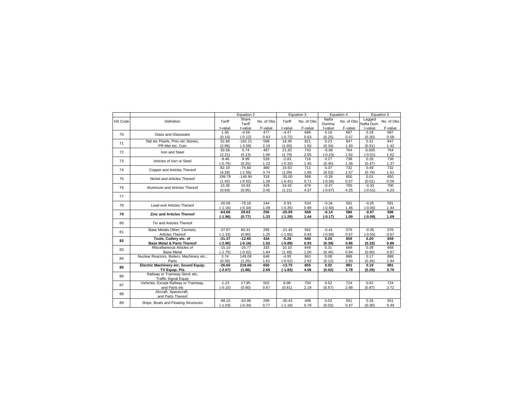|                |                                                     |                   | Equation 2          |             |                   | Equation 3  |                   | Equation 4  |                      | Equation 5  |
|----------------|-----------------------------------------------------|-------------------|---------------------|-------------|-------------------|-------------|-------------------|-------------|----------------------|-------------|
| <b>HS Code</b> | Definition                                          | Tariff            | Share<br>Tariff     | No. of Obs  | Tariff            | No. of Obs  | Nafta<br>Dummy    | No. of Obs  | Lagged<br>Nafta Dum. | No. of Obs  |
|                |                                                     | t-value           | t-value             | F-value     | t-value           | F-value     | t-value           | F-value     | t-value              | F-value     |
| 70             | Glass and Glassware                                 | 1.36              | $-4.56$             | 477         | $-4.47$           | 686         | 0.16              | 687         | 0.18                 | 687         |
|                |                                                     | (0.10)            | $(-0.12)$           | 0.63        | $(-0.72)$         | 0.63        | (0.25)            | 0.57        | (0.30)               | 0.58        |
| 71             | Nat etc Pearls, Prec etc Stones,                    | 52.68             | $-162.21$           | 598         | 18.36             | 821         | 0.23              | 847         | 0.31                 | 847         |
|                | PR Met etc; Coin                                    | (2.96)<br>33.58   | $(-3.59)$<br>5.74   | 2.19<br>487 | (1.60)<br>21.83   | 1.50<br>743 | (0.34)<br>$-0.08$ | 1.40<br>764 | (0.51)<br>$-0.005$   | 1.42<br>764 |
| 72             | Iron and Steel                                      | (2.21)            | (0.13)              | 1.96        | (1.78)            | 2.05        | $(-0.10)$         | 1.62        | $(-0.01)$            | 1.62        |
|                |                                                     | $-9.48$           | 9.99                | 528         | $-2.83$           | 716         | 0.27              | 738         | 0.26                 | 738         |
| 73             | Articles of Iron or Steel                           | $(-0.75)$         | (0.25)              | 1.22        | $(-0.32)$         | 1.45        | (0.45)            | 1.36        | (0.47)               | 1.37        |
|                |                                                     | 82.19             | $-75.60$            | 480         | 15.63             | 711         | 0.37              | 732         | 0.49                 | 732         |
| 74             | Copper and Articles Thereof                         | (4.28)            | $(-1.56)$           | 3.74        | (1.09)            | 1.66        | (0.53)            | 1.57        | (0.79)               | 1.61        |
|                |                                                     | 199.76            | $-149.94$           | 318         | $-35.00$          | 588         | $-0.26$           | 650         | 0.01                 | 650         |
| 75             | Nickel and Articles Thereof                         | (1.42)            | $(-0.52)$           | 1.28        | $(-0.41)$         | 0.71        | $(-0.34)$         | 0.57        | (0.01)               | 0.56        |
| 76             | Aluminum and Articles Thereof                       | 13.36             | 10.93               | 429         | 16.92             | 678         | $-0.47$           | 700         | $-0.33$              | 700         |
|                |                                                     | (0.64)            | (0.05)              | 3.45        | (1.21)            | 4.37        | $(-0.67)$         | 4.25        | $(-0.51)$            | 4.23        |
| 77             |                                                     |                   |                     |             |                   |             |                   |             |                      |             |
| 78             | Lead and Articles Thereof                           | $-26.56$          | $-76.10$            | 244         | $-5.93$           | 534         | $-0.34$           | 591         | $-0.05$              | 591         |
|                |                                                     | $(-1.16)$         | $(-0.34)$           | 1.08        | $(-0.35)$         | 0.98        | $(-0.40)$         | 1.46        | $(-0.06)$            | 1.44        |
| 79             | <b>Zinc and Articles Thereof</b>                    | $-64.66$          | 29.62               | 256         | $-20.09$          | 568         | $-0.14$           | 586         | $-0.07$              | 586         |
|                |                                                     | $(-1.96)$         | (0.77)              | 1.33        | $(-1.29)$         | 1.44        | $(-0.17)$         | 1.09        | $(-0.09)$            | 1.09        |
| 80             | Tin and Articles Thereof                            |                   |                     |             |                   |             |                   |             |                      |             |
| 81             | Base Metals Other: Cermets:                         | $-37.87$          | 60.31               | 295         | $-21.45$          | 562         | $-0.41$           | 576         | $-0.35$              | 576         |
|                | Articles Thereof                                    | $(-1.33)$         | (0.80)              | 1.25        | $(-1.60)$         | 0.93        | $(-0.58)$         | 0.67        | $(-0.55)$            | 0.67        |
| 82             | Tools, Cutlery etc. of                              | $-31.37$          | $-12.65$            | 434         | $-5.26$           | 640         | 0.26              | 659         | 0.20                 | 659         |
|                | <b>Base Metal &amp; Parts Thereof</b>               | $(-2.90)$         | $(-0.16)$           | 1.52        | $(-0.89)$         | 0.93        | (0.39)            | 0.86        | (0.33)               | 0.86        |
| 83             | Miscellaneous Articles of                           | $-15.10$          | $-25.77$            | 333<br>1.84 | 10.10             | 649<br>1.00 | 0.31              | 668         | 0.38<br>(0.60)       | 668<br>0.87 |
|                | <b>Base Metal</b>                                   | $(-1.75)$<br>3.74 | $(-0.62)$<br>149.08 | 648         | (1.48)<br>$-4.95$ | 863         | (0.45)<br>0.08    | 0.84<br>888 | 0.17                 | 888         |
| 84             | Nuclear Reactors, Boilers, Machinery etc.;<br>Parts | (0.30)            | (1.25)              | 1.61        | $(-0.52)$         | 2.92        | (0.12)            | 2.93        | (0.26)               | 2.94        |
|                | Electric Machinery etc; Sound Equip;                | $-26.60$          | 218.66              | 650         | $-13.75$          | 855         | 0.02              | 881         | 0.19                 | 881         |
| 85             | <b>TV Equip: Pts</b>                                | $(-2.67)$         | (1.86)              | 2.69        | $(-1.83)$         | 4.06        | (0.02)            | 3.78        | (0.29)               | 3.79        |
|                | Railway or Tramway Stock etc;                       |                   |                     |             |                   |             |                   |             |                      |             |
| 86             | <b>Traffic Signal Equip</b>                         |                   |                     |             |                   |             |                   |             |                      |             |
|                | Vehicles, Except Railway or Tramway,                | $-1.23$           | 17.95               | 502         | 8.96              | 704         | 0.52              | 724         | 0.62                 | 724         |
| 87             | and Parts etc                                       | $(-0.10)$         | (0.60)              | 0.67        | (0.81)            | 2.19        | (0.67)            | 2.68        | (0.87)               | 2.72        |
| 88             | Aircraft, Spacecraft,<br>and Parts Thereof          |                   |                     |             |                   |             |                   |             |                      |             |
|                |                                                     | $-48.10$          | $-63.96$            | 299         | $-30.43$          | 498         | 0.02              | 551         | 0.26                 | 551         |
| 89             | Ships, Boats and Floating Structures                | $(-1.03)$         | $(-0.34)$           | 0.77        | $(-1.19)$         | 0.79        | (0.02)            | 0.47        | (0.30)               | 0.49        |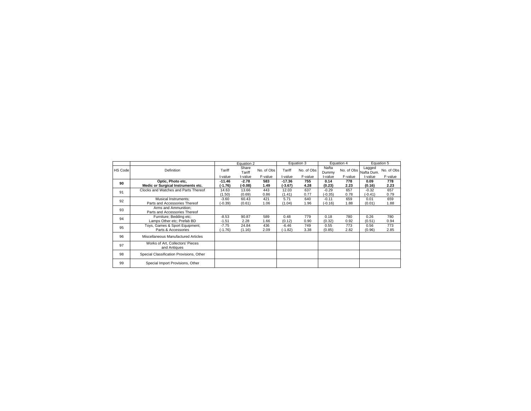|                |                                                  |           | Equation 2      |            |           | Equation 3 |                | Equation 4 |                      | Equation 5 |
|----------------|--------------------------------------------------|-----------|-----------------|------------|-----------|------------|----------------|------------|----------------------|------------|
| <b>HS Code</b> | Definition                                       | Tariff    | Share<br>Tariff | No. of Obs | Tariff    | No. of Obs | Nafta<br>Dummy | No. of Obs | Lagged<br>Nafta Dum. | No. of Obs |
|                |                                                  | t-value   | t-value         | F-value    | t-value   | F-value    | t-value        | F-value    | t-value              | F-value    |
| 90             | Optic, Photo etc,                                | $-11.46$  | $-2.78$         | 583        | $-17.36$  | 755        | 0.14           | 778        | 0.09                 | 778        |
|                | Medic or Surgical Instruments etc.               | (-1.76)   | (-0.08)         | 1.49       | (.3.67)   | 4.28       | (0.23)         | 2.23       | (0.16)               | 2.23       |
| 91             | Clocks and Watches and Parts Thereof             | 14.63     | 13.66           | 443        | 12.03     | 637        | $-0.29$        | 657        | $-0.32$              | 657        |
|                |                                                  | (1.50)    | (0.69)          | 0.86       | (1.41)    | 0.77       | $(-0.35)$      | 0.78       | $(-0.41)$            | 0.79       |
| 92             | Musical Instruments:                             | $-3.60$   | 60.43           | 421        | 5.71      | 640        | $-0.11$        | 659        | 0.01                 | 659        |
|                | Parts and Accessories Thereof                    | $(-0.39)$ | (0.61)          | 1.06       | (1.04)    | 1.96       | $(-0.16)$      | 1.88       | (0.01)               | 1.88       |
| 93             | Arms and Ammunition:                             |           |                 |            |           |            |                |            |                      |            |
|                | Parts and Accessories Thereof                    |           |                 |            |           |            |                |            |                      |            |
| 94             | Furniture; Bedding etc;                          | $-8.53$   | 90.87           | 589        | 0.48      | 779        | 0.18           | 780        | 0.26                 | 780        |
|                | Lamps Other etc: Prefab BD                       | $-1.51$   | 2.28            | 1.66       | (0.12)    | 0.90       | (0.32)         | 0.92       | (0.51)               | 0.94       |
| 95             | Toys, Games & Sport Equipment;                   | $-7.75$   | 24.84           | 436        | $-6.46$   | 749        | 0.55           | 773        | 0.56                 | 773        |
|                | Parts & Accessories                              | $(-1.76)$ | (1.16)          | 2.09       | $(-1.82)$ | 3.38       | (0.85)         | 2.82       | (0.96)               | 2.85       |
| 96             | Miscellaneous Manufactured Articles              |           |                 |            |           |            |                |            |                      |            |
| 97             | Works of Art, Collectors' Pieces<br>and Antiques |           |                 |            |           |            |                |            |                      |            |
| 98             | Special Classification Provisions, Other         |           |                 |            |           |            |                |            |                      |            |
| 99             | Special Import Provisions, Other                 |           |                 |            |           |            |                |            |                      |            |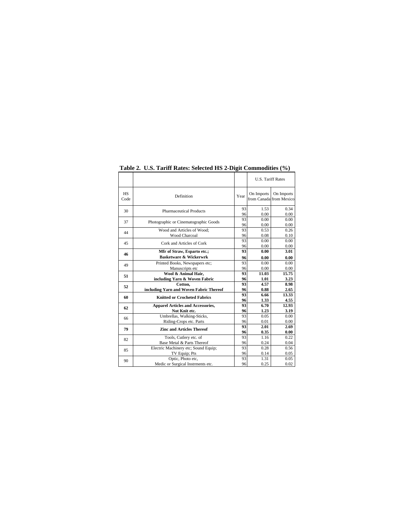|                   |                                          |          | <b>U.S. Tariff Rates</b> |                                       |
|-------------------|------------------------------------------|----------|--------------------------|---------------------------------------|
| <b>HS</b><br>Code | Definition                               | Year     | On Imports               | On Imports<br>from Canada from Mexico |
| 30                | <b>Pharmaceutical Products</b>           | 93<br>96 | 1.53<br>0.00             | 0.34<br>0.00                          |
| 37                | Photographic or Cinematographic Goods    | 93<br>96 | 0.00<br>0.00             | 0.00<br>0.00                          |
| 44                | Wood and Articles of Wood:               | 93       | 0.53                     | 0.26                                  |
|                   | <b>Wood Charcoal</b>                     | 96       | 0.08                     | 0.10                                  |
| 45                | Cork and Articles of Cork                | 93<br>96 | 0.00<br>0.00             | 0.00<br>0.00                          |
| 46                | Mfr of Straw, Esparto etc.;              | 93       | 0.00                     | 3.01                                  |
|                   | <b>Basketware &amp; Wickerwrk</b>        | 96       | 0.00                     | 0.00                                  |
| 49                | Printed Books, Newspapers etc;           | 93       | 0.00                     | 0.00                                  |
|                   | Manuscripts etc                          | 96       | 0.00                     | 0.00                                  |
| 51                | Wool & Animal Hair.                      | 93       | 11.03                    | 15.75                                 |
|                   | including Yarn & Woven Fabric            | 96       | 1.01                     | 3.23                                  |
| 52                | Cotton,                                  | 93       | 4.57                     | 8.98                                  |
|                   | including Yarn and Woven Fabric Thereof  | 96       | 0.88                     | 2.65                                  |
| 60                | <b>Knitted or Crocheted Fabrics</b>      | 93<br>96 | 6.66<br>1.33             | 13.33<br>4.55                         |
| 62                | <b>Apparel Articles and Accessories,</b> | 93       | 6.70                     | 12.93                                 |
|                   | Not Knit etc.                            | 96       | 1.23                     | 3.19                                  |
| 66                | Umbrellas, Walking-Sticks,               | 93       | 0.05                     | 0.00                                  |
|                   | Riding-Crops etc. Parts                  | 96       | 0.01                     | 0.00                                  |
| 79                | <b>Zinc and Articles Thereof</b>         | 93<br>96 | 2.01<br>0.35             | 2.69<br>0.00                          |
| 82                | Tools, Cutlery etc. of                   | 93       | 1.16                     | 0.22                                  |
|                   | Base Metal & Parts Thereof               | 96       | 0.24                     | 0.04                                  |
| 85                | Electric Machinery etc; Sound Equip;     | 93       | 0.28                     | 0.56                                  |
|                   | TV Equip; Pts                            | 96       | 0.14                     | 0.05                                  |
| 90                | Optic, Photo etc,                        | 93       | 1.31                     | 0.05                                  |
|                   | Medic or Surgical Instrments etc.        | 96       | 0.25                     | 0.02                                  |

**Table 2. U.S. Tariff Rates: Selected HS 2-Digit Commodities (%)**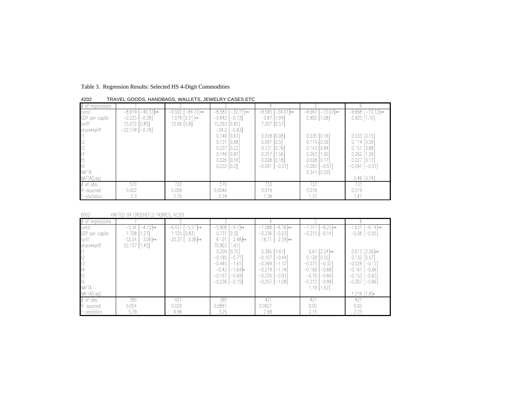Table 3. Regression Results: Selected HS 4-Digit Commodities

| $#$ of regressions |                          |                     |                         |                      |                         |                      |
|--------------------|--------------------------|---------------------|-------------------------|----------------------|-------------------------|----------------------|
| const              | $[-40.33]**$<br>$-8.619$ | $-9.502$ [-84.73]** | $-8.583$ [ $-32.73$ ]** | $-9.595$ $[-54.01]*$ | $[-73.03]*$<br>$-9.667$ | $-9.668$ $[-73.13]*$ |
| GDP per capita     | $-0.225$ [ $-0.38$ ]     | 1.079 [2.01]**      | $-0.642$ [ $-0.73$ ]    | $0.87$ [1.04]        | $0.902$ [1.08]          | $0.925$ [1.10]       |
| tariff             | 15.072 [0.85]            | $10.06$ $[0.8]$     | 15.263 [0.85]           | 7.207 [0.57]         |                         |                      |
| share*tariff       | $-22.778[-0.78]$         |                     | $-24.2$ [ $-0.83$ ]     |                      |                         |                      |
|                    |                          |                     | $0.149$ $[0.67]$        | $0.018$ $[0.08]$     | $0.035$ $[0.16]$        | $0.033$ $[0.15]$     |
|                    |                          |                     | $0.131$ $[0.68]$        | $0.097$ $[0.5]$      | $0.114$ $[0.59]$        | $0.114$ $[0.59]$     |
|                    |                          |                     | $0.037$ $[0.22]$        | $0.131$ $[0.76]$     | $0.143$ $[0.84]$        | $0.151$ $[0.88]$     |
|                    |                          |                     | $0.146$ $[0.87]$        | $0.257$ [1.56]       | $0.263$ [1.60]          | $0.262$ [1.59]       |
|                    |                          |                     | $0.026$ $[0.16]$        | $0.028$ $[0.18]$     | $0.028$ $[0.17]$        | $0.027$ $[0.17]$     |
|                    |                          |                     | $0.032$ $[0.2]$         | $-0.091$ [ $-0.57$ ] | $-0.092$ [ $-0.57$ ]    | $-0.091$ [ $-0.57$ ] |
| <b>NAFTA</b>       |                          |                     |                         |                      | $0.341$ $[0.50]$        |                      |
| NAFTA(Laq)         |                          |                     |                         |                      |                         | $0.46$ $[0.74]$      |
| $#$ of obs.        | 570                      | 733                 | 570                     | 733                  | 733                     | 733                  |
| $R$ -squared       | 0.002                    | 0.009               | 0.0046                  | 0.019                | 0.018                   | 0.019                |
| F-statistics       | 0.3                      | 2.79                | 0.24                    | 1.38                 | 1.37                    | 1.41                 |

4202 TRAVEL GOODS, HANDBAGS, WALLETS, JEWELRY CASES ETC

6002 KNITTED OR CROCHETED FABRICS, NESOI

| $#$ of regressions                                                                                               |                                                                                    |                                                               |                                                                                                                                                                                                                  |                                                                                                                                                                                                     |                                                                                                                                                                                                   |                                                                                                                                                                                      |
|------------------------------------------------------------------------------------------------------------------|------------------------------------------------------------------------------------|---------------------------------------------------------------|------------------------------------------------------------------------------------------------------------------------------------------------------------------------------------------------------------------|-----------------------------------------------------------------------------------------------------------------------------------------------------------------------------------------------------|---------------------------------------------------------------------------------------------------------------------------------------------------------------------------------------------------|--------------------------------------------------------------------------------------------------------------------------------------------------------------------------------------|
| const<br>GDP per capita<br>tariff<br>share*tariff<br>$\frac{t}{t}$<br>t4<br>t5<br>t <sub>6</sub><br><b>NAFTA</b> | $-5.34$ $[-4.72]$ **<br>$1.708$ $[1.27]$<br>$-52.04$ $[-3.06]$ **<br>55.107 [1.45] | $-6.437$ $[-5.51]$ **<br>1.125 [0.83]<br>$-20.37$ $[-3.06]**$ | $-5.908$ $[-4.7]**$<br>$0.731$ $[0.5]$<br>$-61.01$ $[-2.48]**$<br>70.903 [1.41]<br>$0.209$ $[0.75]$<br>$-0.195$ $[-0.71]$<br>$-0.445$ [-1.61]<br>$-0.42$ [-1.64] $*$<br>$-0.167$ $[-0.69]$<br>$-0.036$ $[-0.15]$ | $-7.588$ $[-6.16]*$<br>$-0.336$ [ $-0.23$ ]<br>$-18.71$ $[-2.59]**$<br>$0.395$ [1.61]<br>$-0.107$ $[-0.44]$<br>$-0.269$ [-1.12]<br>$-0.279$ [-1.14]<br>$-0.226$ [ $-0.93$ ]<br>$-0.257$ [ $-1.08$ ] | $-7.741$ $[-6.25]**$<br>$-0.215$ [ $-0.14$ ]<br>$0.61$ [2.54]**<br>$0.128$ $[0.55]$<br>$-0.075$<br>[–0.32]<br>$-0.166$<br>$-0.68]$<br>$-0.16$<br>$-0.66$<br>$-0.212$<br>$-0.89]$<br>$1.19$ [1.62] | $-7.631$ $[-6.14]$ **<br>$-0.08$ [ $-0.05$ ]<br>$0.613$ [2.56]**<br>$0.132$ $[0.57]$<br>$-0.028$ [ $-0.12$ ]<br>$-0.161$ [ $-0.66$ ]<br>$-0.153$ [ $-0.63$ ]<br>$-0.207$ [ $-0.86$ ] |
| NAFTA(Lag)                                                                                                       |                                                                                    |                                                               |                                                                                                                                                                                                                  |                                                                                                                                                                                                     |                                                                                                                                                                                                   | 1.218 [1.8]*                                                                                                                                                                         |
| $#$ of obs.                                                                                                      | 385                                                                                | 421                                                           | 385                                                                                                                                                                                                              | 421                                                                                                                                                                                                 | 421                                                                                                                                                                                               | 421                                                                                                                                                                                  |
| $R$ -squared                                                                                                     | 0.054                                                                              | 0.029                                                         | 0.0887                                                                                                                                                                                                           | 0.0627                                                                                                                                                                                              | 0.05                                                                                                                                                                                              | 0.05                                                                                                                                                                                 |
| F-statistics                                                                                                     | 5.79                                                                               | 4.98                                                          | 3.25                                                                                                                                                                                                             | 2.68                                                                                                                                                                                                | 2.15                                                                                                                                                                                              | 2.23                                                                                                                                                                                 |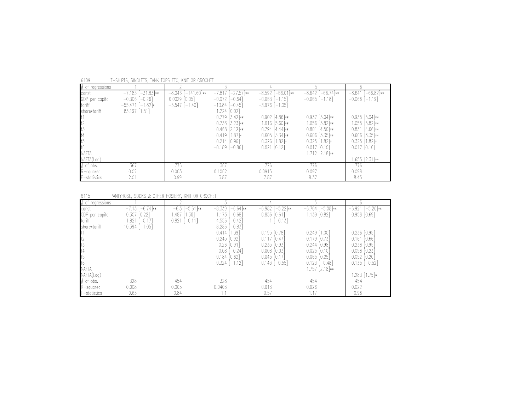| $#$ of regressions |                        |                      |                         |                      |                         |                        |
|--------------------|------------------------|----------------------|-------------------------|----------------------|-------------------------|------------------------|
| const              | $-7.183$ $[-31.83]$ ** | $-8.046$ [-141.60]** | $-7.817$ [ $-27.57$ ]** | $-8.592$ [-66.01]**  | $-66.74$ **<br>$-8.642$ | $-8.641$ $[-66.82]$ ** |
| GDP per capita     | $-0.306$ [ $-0.26$ ]   | $0.0029$ $[0.05]$    | $-0.072$ $[-0.64]$      | $-0.063$ [ $-1.15$ ] | $-0.065$ [ $-1.18$ ]    | $-0.066$ [-1.19]       |
| tariff             | $-55.471$ [-1.82]*     | $-5.547$ [ $-1.40$ ] | $-13.84$ $[-0.45]$      | $-3.976$ [ $-1.05$ ] |                         |                        |
| share*tariff       | 83.197 [1.51]          |                      | 1.224 [0.02]            |                      |                         |                        |
|                    |                        |                      | $0.779$ [3.42]**        | $0.902$ [4.86]**     | $0.937$ [5.04]**        | $0.935$ [5.04]**       |
|                    |                        |                      | $0.733$ $[3.23]**$      | 1.016 [5.60]**       | 1.056 [5.82]**          | $1.055$ [5.82]**       |
|                    |                        |                      | $0.468$ [2.12]**        | $0.794$ [4.44]**     | $0.801$ [4.50]**        | $0.831$ [4.66]**       |
|                    |                        |                      | $0.419$ [1.87] $*$      | $0.605$ [3.34]**     | $0.606$ [3.35] $**$     | $0.606$ [3.35]**       |
| t5                 |                        |                      | $0.214$ $[0.96]$        | $0.326$ [1.82] $*$   | $0.325$ [1.82] $*$      | $0.325$ [1.82] $*$     |
|                    |                        |                      | $-0.189$ [ $-0.86$ ]    | $0.021$ [0.12]       | $0.017$ $[0.10]$        | $0.017$ $[0.10]$       |
| <b>NAFTA</b>       |                        |                      |                         |                      | $1.712$ [2.18] $**$     |                        |
| NAFTA(Laq)         |                        |                      |                         |                      |                         | 1.655 [2.31]**         |
| $#$ of obs.        | 367                    | 776                  | 367                     | 776                  | 776                     | 776                    |
| $R$ -squared       | 0.02                   | 0.003                | 0.1062                  | 0.0915               | 0.097                   | 0.098                  |
| F-statistics       | 2.01                   | 0.99                 | 3.87                    | 7.87                 | 8.37                    | 8.45                   |

T-SHIRTS, SINGLETS, TANK TOPS ETC, KNIT OR CROCHET 6109

#### 6115 PANTYHOSE, SOCKS & OTHER HOSIERY, KNIT OR CROCHET

| $#$ of regressions |                     |                      |                       |                        |                      |                      |
|--------------------|---------------------|----------------------|-----------------------|------------------------|----------------------|----------------------|
| const              | $-7.13$ $[-6.74]**$ | $-6.3$ [ $-5.61$ ]** | $-8.339$ $[-6.64]$ ** | $-6.982$ [ $-5.22$ ]** | $-6.764$ [-5.08]**   | $-6.921$ [-5.20]**   |
| GDP per capita     | $0.307$ $[0.22]$    | 1.487 [1.30]         | $-1.173$ $[-0.68]$    | $0.856$ $[0.61]$       | $1.139$ $[0.82]$     | $0.958$ $[0.69]$     |
| tariff             | $-1.821$ [-0.17]    | $-0.821$ $[-0.11]$   | $-4.556$ [ $-0.42$ ]  | $-1$ [-0.13]           |                      |                      |
| share*tariff       | $-10.394$ $[-1.05]$ |                      | $-8.286$ [ $-0.83$ ]  |                        |                      |                      |
|                    |                     |                      | $0.414$ [1.39]        | $0.195$ $[0.78]$       | $0.249$ [1.00]       | $0.236$ $[0.95]$     |
| t1<br>t2<br>t3     |                     |                      | $0.245$ $[0.92]$      | $0.117$ $[0.47]$       | $0.179$ $[0.73]$     | $0.161$ $[0.66]$     |
|                    |                     |                      | $0.26$ $[0.91]$       | $0.235$ $[0.93]$       | $0.244$ $[0.98]$     | $0.238$ $[0.95]$     |
|                    |                     |                      | $-0.08$ [ $-0.24$ ]   | $0.008$ $[0.03]$       | $0.025$ $[0.10]$     | $0.058$ $[0.23]$     |
| t4<br>t5<br>t6     |                     |                      | $0.184$ $[0.62]$      | $0.045$ $[0.17]$       | $0.065$ $[0.25]$     | $0.052$ $[0.20]$     |
|                    |                     |                      | $-0.324$ [ $-1.12$ ]  | $-0.143$ [ $-0.55$ ]   | $-0.123$ [ $-0.48$ ] | $-0.135$ [ $-0.52$ ] |
| <b>NAFTA</b>       |                     |                      |                       |                        | $1.757$ $[2.18]**$   |                      |
| NAFTA(Lag)         |                     |                      |                       |                        |                      | 1.283 [1.75]*        |
| $#$ of obs.        | 328                 | 454                  | 328                   | 454                    | 454                  | 454                  |
| R-squared          | 0.008               | 0.005                | 0.0403                | 0.013                  | 0.026                | 0.022                |
| F-statistics       | 0.63                | 0.84                 |                       | 0.57                   | 1.17                 | 0.96                 |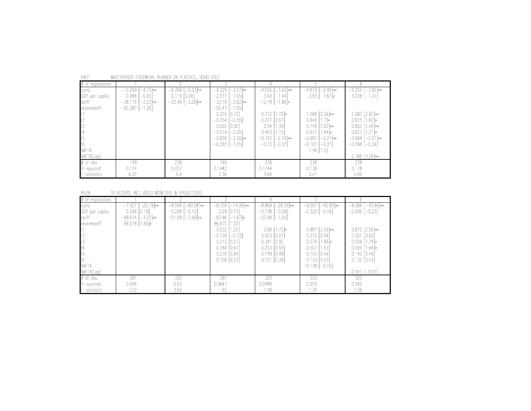| # of regressions |                       |                      |                        |                       |                        |                         |
|------------------|-----------------------|----------------------|------------------------|-----------------------|------------------------|-------------------------|
| const            | $-5.269$ [-4.73]**    | $-6.399$ $[-5.53]*$  | $[-3.57]*$<br>$-4.325$ | $-4.555$ $[-3.42]$ ** | $-4.679$ $[-3.46]$ **  | $[-3.95]**$<br>$-5.259$ |
| GDP per capita   | $-0.946$ [ $-0.45$ ]  | $0.119$ $[0.06]$     | $-2.571$ [-1.05]       | $-3.43$ [ $-1.44$ ]   | $-3.93$ [ $-1.67$ ]*   | $-3.036$ [ $-1.31$ ]    |
| tariff           | $-38.176$ $[-3.23]**$ | $-20.49$ $[-3.28]**$ | $-33.19$ [-2.62]**     | $-12.79$ [-1.86]*     |                        |                         |
| share*tariff     | $-65.387$ [-1.26]     |                      | $-55.47$ [-1.05]       |                       |                        |                         |
|                  |                       |                      | $0.355$ $[0.72]$       | $0.772$ [1.72] $*$    | 1.084 [2.56]**         | 1.083 [2.62]**          |
| t2               |                       |                      | $-0.254$ [ $-0.56$ ]   | $0.277$ $[0.67]$      | $0.646$ [1.7] $*$      | $0.675$ [1.82] $*$      |
| t3               |                       |                      | $0.002$ $[0.00]$       | $0.54$ [1.39]         | $0.746$ [2.02]**       | $0.902$ [2.48]**        |
| $\mathsf{t}$     |                       |                      | $-0.019$ [ $-0.05$ ]   | $0.443$ [1.15]        | $0.617$ [1.64] $*$     | $0.627$ [1.71] $*$      |
| lt5              |                       |                      | $-0.826$ $[-2.26]$ **  | $-0.742$ [-2.19]**    | $-0.681$<br>$-2.01$ ** | $-0.684$ $[-2.07]**$    |
| It6              |                       |                      | $-0.393$ [ $-1.05$ ]   | $-0.13$ [ $-0.37$ ]   | $-0.107$<br>$-0.31$ ]  | $-0.098$ $[-0.29]$      |
| <b>NAFTA</b>     |                       |                      |                        |                       | $1.48$ [1.5]           |                         |
| NAFTA(Lag)       |                       |                      |                        |                       |                        | 2.788 [3.28]**          |
| $#$ of obs.      | 199                   | 238                  | 199                    | 238                   | 238                    | 238                     |
| R-squared        | 0.114                 | 0.057                | 0.1442                 | 0.1744                | 0.138                  | 0.178                   |
| $F$ -statistics  | 6.37                  | 5.4                  | 3.36                   | 3.64                  | 3.47                   | 4.69                    |

6401 WATERPROOF FOOTWEAR, RUBBER OR PLASTICS, BOND SOLE

#### 8528 TV RECVRS, INCL VIDEO MONITORS & PROJECTORS

| $#$ of regressions                                                                                                                     |                                                                                            |                                                                                |                                                                                                                                                                                                      |                                                                                                                                                                                     |                                                                                                                                                                                               |                                                                                                                                                                                                  |
|----------------------------------------------------------------------------------------------------------------------------------------|--------------------------------------------------------------------------------------------|--------------------------------------------------------------------------------|------------------------------------------------------------------------------------------------------------------------------------------------------------------------------------------------------|-------------------------------------------------------------------------------------------------------------------------------------------------------------------------------------|-----------------------------------------------------------------------------------------------------------------------------------------------------------------------------------------------|--------------------------------------------------------------------------------------------------------------------------------------------------------------------------------------------------|
| const<br>GDP per capita<br>tariff<br>Ishare*tariff<br>lt 1<br>$t2$<br>$t3$<br>t4<br>t5<br>t <sub>6</sub><br><b>NAFTA</b><br>NAFTA(Lag) | $-7.927$ [ $-20.19$ ]**<br>$0.346$ $[0.19]$<br>$-89.614$ [ $-3.22$ ]**<br>99.218 $[1.66]*$ | $-8.599$ $\overline{-80.08}$ **<br>$-0.208$ $[-0.12]$<br>$-51.08$ $[-2.68]$ ** | $-8.109$ $[-14.09]**$<br>$0.28$ [0.15]<br>$-83.96$ [-1.87]*<br>96.675 [1.52]<br>$0.532$ [1.25]<br>$-0.139$ $[-0.33]$<br>$0.213$ $[0.51]$<br>$0.184$ $[0.43]$<br>$0.276$ $[0.84]$<br>$0.108$ $[0.33]$ | $-8.869$ [-28.39]**<br>$-0.138$ $[-0.08]$<br>$-32.48$ [-1.05]<br>$0.68$ [1.72] $*$<br>$0.003$ $[0.01]$<br>$0.341$ [0.9]<br>$0.253$ $[0.65]$<br>$0.149$ $[0.48]$<br>$0.121$ $[0.39]$ | $-9.097$ [ $-40.89$ ]**<br>$-0.322$ [ $-0.18$ ]<br>$0.887$ [2.58]**<br>$0.212$ $[0.64]$<br>$0.574$ [1.86] $*$<br>$0.507$ [1.63]<br>$0.142$ [0.46]<br>$0.133$ $[0.43]$<br>$-0.139$ [ $-0.16$ ] | [-40.96]**<br>$-9.086$<br>$-0.409$ $[-0.23]$<br>$0.875$ [2.56]**<br>$0.201$ $[0.60]$<br>$0.556$ [1.79] $*$<br>$0.509$ [1.64] $*$<br>$0.143$ $[0.46]$<br>$0.132$ $[0.43]$<br>$-0.341$ [ $-0.42$ ] |
| $#$ of obs.                                                                                                                            | 281                                                                                        | 320                                                                            | 281                                                                                                                                                                                                  | 320                                                                                                                                                                                 | 320                                                                                                                                                                                           | 320                                                                                                                                                                                              |
| R-squared                                                                                                                              | 0.046                                                                                      | 0.03                                                                           | 0.0647                                                                                                                                                                                               | 0.0489                                                                                                                                                                              | 0.045                                                                                                                                                                                         | 0.045                                                                                                                                                                                            |
| F-statistics                                                                                                                           | 3.52                                                                                       | 3.62                                                                           | 1.62                                                                                                                                                                                                 | 1.48                                                                                                                                                                                | 1.34                                                                                                                                                                                          | 1.36                                                                                                                                                                                             |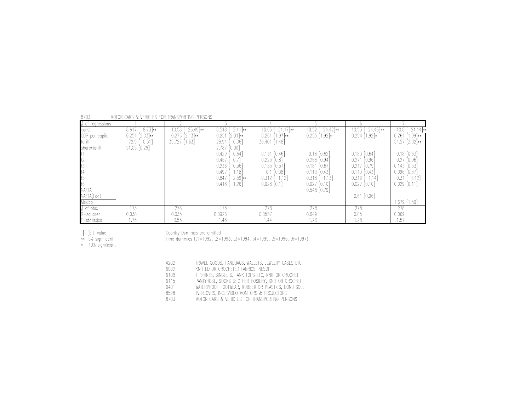| 8703 |  | MOTOR CARS & VEHICLES FOR TRANSPORTING PERSONS |  |
|------|--|------------------------------------------------|--|
|      |  |                                                |  |

| $#$ of regressions |                   |                        |                        |                      |                     |                       |                                |
|--------------------|-------------------|------------------------|------------------------|----------------------|---------------------|-----------------------|--------------------------------|
| const              | $-8.617[-8.73]**$ | $-10.58$ $[-26.49]$ ** | $-8.518$ $[-2.41]$ **  | $-10.65$ $[-24.17]*$ | $-10.52$ [-24.42]** | $-10.53$ $[-24.46]**$ | $-10.\overline{8}$ $[-24.14]*$ |
| GDP per capita     | $0.251$ $[2.03]*$ | $0.276$ $[2.13]**$     | $0.251$ $[2.01]*$      | $0.261$ [1.97] $**$  | $0.255$ $[1.92]$ *  | $0.254$ [1.92] $*$    | $[1.99]**$<br>0.261            |
| tariff             | $-72.9$ [-0.51]   | 39.727 [1.63]          | $-28.94$ $[-0.06]$     | 36.401 [1.48]        |                     |                       | 54.57 [2.02]**                 |
| Ishare*tariff      | 51.06 [0.29]      |                        | $-2.787$ [0.00]        |                      |                     |                       |                                |
|                    |                   |                        | $-0.429$ $[-0.64]$     | $0.131$ $[0.46]$     | $0.18$ $[0.62]$     | $0.183$ $[0.64]$      | $0.18$ $[0.63]$                |
| t2                 |                   |                        | $-0.467$<br>$-0.7$ ]   | $0.223$ $[0.8]$      | $0.268$ $[0.94]$    | $0.271$ $[0.96]$      | $0.27$ $[0.96]$                |
| t3                 |                   |                        | $-0.236$<br>$-0.36$    | $0.155$ $[0.57]$     | $0.181$ $[0.67]$    | $0.217$ $[0.79]$      | $0.143$ $[0.53]$               |
| t4                 |                   |                        | $-0.497$ [-1.18]       | $0.1$ $[0.38]$       | $0.113$ $[0.43]$    | $0.113$ $[0.43]$      | $0.096$ $[0.37]$               |
| t5                 |                   |                        | $-0.847$<br>$-2.59$ ** | $-0.312$ [-1.12]     | $-0.318$ $[-1.13]$  | $-0.319$ [-1.14]      | $-0.31$ [ $-1.12$ ]            |
| t6                 |                   |                        | $-0.418$ [ $-1.26$ ]   | $0.028$ $[0.1]$      | $0.027$ $[0.10]$    | $0.027$ $[0.10]$      | $0.029$ $[0.11]$               |
| <b>NAFTA</b>       |                   |                        |                        |                      | $0.548$ [0.79]      |                       |                                |
| NAFTA(Lag)         |                   |                        |                        |                      |                     | $0.61$ [0.96]         |                                |
| Mexico             |                   |                        |                        |                      |                     |                       | 1.679 [1.59]                   |
| $#$ of obs.        | 173               | 278                    | 173                    | 278                  | 278                 | 278                   | 278                            |
| R-squared          | 0.038             | 0.035                  | 0.0926                 | 0.0567               | 0.049               | 0.05                  | 0.069                          |
| F-statistics       | 1.75              | 3.55                   | 1.43                   | 1.44                 | 1.23                | 1.28                  | 1.57                           |

Country Dummies are omitted<br>Time dummies (t1=1992, t2=1993, t3=1994, t4=1995, t5=1996, t6=1997)

[ ]: t-value<br>\*\* 5% significant<br>\* 10% significant

| 4202 | TRAVEL GOODS, HANDBAGS, WALLETS, JEWELRY CASES ETC |
|------|----------------------------------------------------|
| 6002 | KNITTED OR CROCHETED FABRICS, NESOL                |
| 6109 | T-SHIRTS, SINGLETS, TANK TOPS ETC, KNIT OR CROCHET |
| 6115 | PANTYHOSE. SOCKS & OTHER HOSIERY, KNIT OR CROCHET  |
| 6401 | WATERPROOF FOOTWEAR, RUBBER OR PLASTICS, BOND SOLE |
| 8528 | TV RECVRS. INCL VIDEO MONITORS & PROJECTORS        |
| 8703 | MOTOR CARS & VEHICLES FOR TRANSPORTING PERSONS     |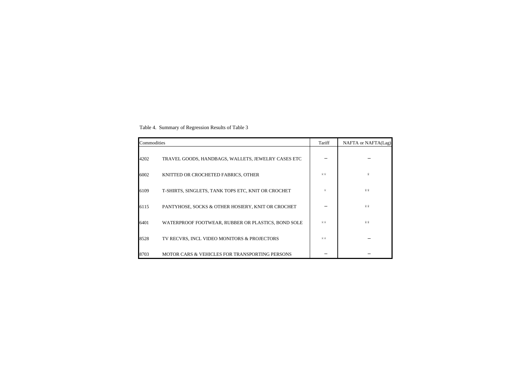Table 4. Summary of Regression Results of Table 3

| Commodities |                                                    | Tariff  | NAFTA or NAFTA(Lag) |
|-------------|----------------------------------------------------|---------|---------------------|
| 4202        | TRAVEL GOODS, HANDBAGS, WALLETS, JEWELRY CASES ETC |         |                     |
| 6002        | KNITTED OR CROCHETED FABRICS, OTHER                | $***$   | $^\ast$             |
| 6109        | T-SHIRTS, SINGLETS, TANK TOPS ETC, KNIT OR CROCHET | $^\ast$ | $***$               |
| 6115        | PANTYHOSE, SOCKS & OTHER HOSIERY, KNIT OR CROCHET  |         | $***$               |
| 6401        | WATERPROOF FOOTWEAR, RUBBER OR PLASTICS, BOND SOLE | $***$   | $***$               |
| 8528        | TV RECVRS, INCL VIDEO MONITORS & PROJECTORS        | $***$   |                     |
| 8703        | MOTOR CARS & VEHICLES FOR TRANSPORTING PERSONS     |         |                     |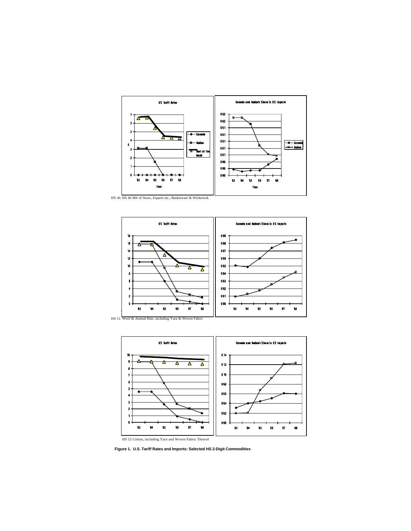





 **Figure 1. U.S. Tariff Rates and Imports: Selected HS 2-Digit Commodities**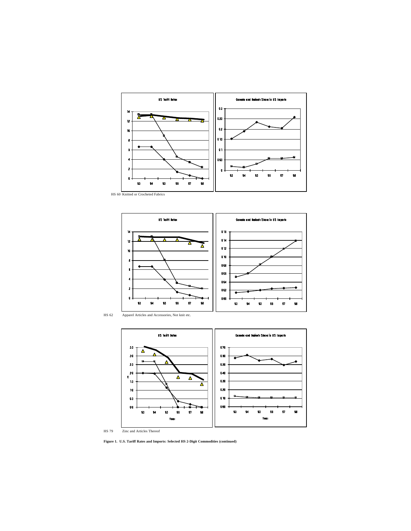









HS 79 Zinc and Articles Thereof

**Figure 1. U.S. Tariff Rates and Imports: Selected HS 2-Digit Commodities (continued)**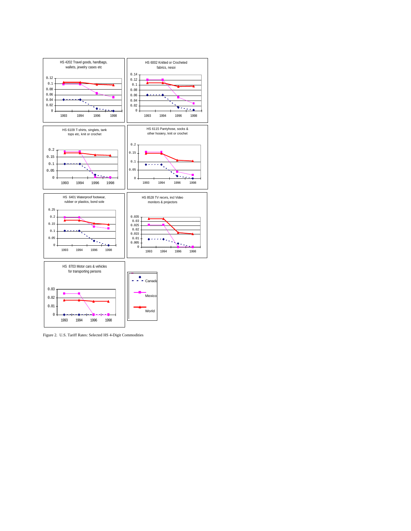

Figure 2. U.S. Tariff Rates: Selected HS 4-Digit Commodities